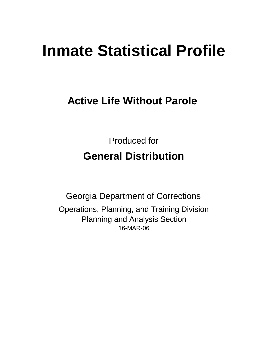# **Inmate Statistical Profile**

**Active Life Without Parole** 

Produced for **General Distribution**

16-MAR-06 Georgia Department of Corrections Operations, Planning, and Training Division Planning and Analysis Section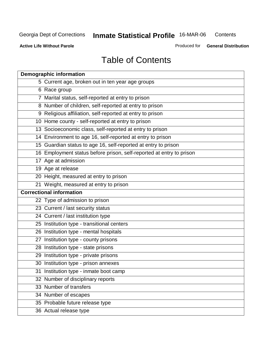**Active Life Without Parole** 

Produced for **General Distribution**

# Table of Contents

| <b>Demographic information</b>                                       |
|----------------------------------------------------------------------|
| 5 Current age, broken out in ten year age groups                     |
| 6 Race group                                                         |
| 7 Marital status, self-reported at entry to prison                   |
| 8 Number of children, self-reported at entry to prison               |
| 9 Religious affiliation, self-reported at entry to prison            |
| 10 Home county - self-reported at entry to prison                    |
| 13 Socioeconomic class, self-reported at entry to prison             |
| 14 Environment to age 16, self-reported at entry to prison           |
| 15 Guardian status to age 16, self-reported at entry to prison       |
| 16 Employment status before prison, self-reported at entry to prison |
| 17 Age at admission                                                  |
| 19 Age at release                                                    |
| 20 Height, measured at entry to prison                               |
| 21 Weight, measured at entry to prison                               |
| <b>Correctional information</b>                                      |
| 22 Type of admission to prison                                       |
| 23 Current / last security status                                    |
| 24 Current / last institution type                                   |
| 25 Institution type - transitional centers                           |
| 26 Institution type - mental hospitals                               |
| 27 Institution type - county prisons                                 |
| 28 Institution type - state prisons                                  |
| 29 Institution type - private prisons                                |
| 30 Institution type - prison annexes                                 |
| 31 Institution type - inmate boot camp                               |
| 32 Number of disciplinary reports                                    |
| 33 Number of transfers                                               |
| 34 Number of escapes                                                 |
| 35 Probable future release type                                      |
| 36 Actual release type                                               |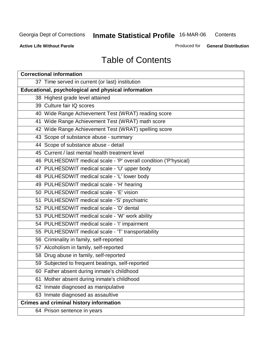**Active Life Without Parole** 

Produced for **General Distribution**

# Table of Contents

| <b>Correctional information</b>                                  |
|------------------------------------------------------------------|
| 37 Time served in current (or last) institution                  |
| Educational, psychological and physical information              |
| 38 Highest grade level attained                                  |
| 39 Culture fair IQ scores                                        |
| 40 Wide Range Achievement Test (WRAT) reading score              |
| 41 Wide Range Achievement Test (WRAT) math score                 |
| 42 Wide Range Achievement Test (WRAT) spelling score             |
| 43 Scope of substance abuse - summary                            |
| 44 Scope of substance abuse - detail                             |
| 45 Current / last mental health treatment level                  |
| 46 PULHESDWIT medical scale - 'P' overall condition ('P'hysical) |
| 47 PULHESDWIT medical scale - 'U' upper body                     |
| 48 PULHESDWIT medical scale - 'L' lower body                     |
| 49 PULHESDWIT medical scale - 'H' hearing                        |
| 50 PULHESDWIT medical scale - 'E' vision                         |
| 51 PULHESDWIT medical scale -'S' psychiatric                     |
| 52 PULHESDWIT medical scale - 'D' dental                         |
| 53 PULHESDWIT medical scale - 'W' work ability                   |
| 54 PULHESDWIT medical scale - 'I' impairment                     |
| 55 PULHESDWIT medical scale - 'T' transportability               |
| 56 Criminality in family, self-reported                          |
| 57 Alcoholism in family, self-reported                           |
| 58 Drug abuse in family, self-reported                           |
| 59 Subjected to frequent beatings, self-reported                 |
| 60 Father absent during inmate's childhood                       |
| Mother absent during inmate's childhood<br>61                    |
| 62 Inmate diagnosed as manipulative                              |
| 63 Inmate diagnosed as assaultive                                |
| <b>Crimes and criminal history information</b>                   |
| 64 Prison sentence in years                                      |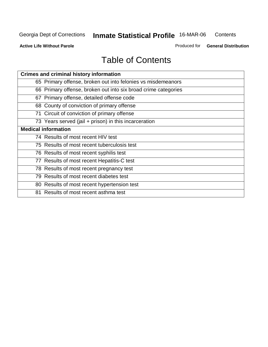**Active Life Without Parole** 

Produced for **General Distribution**

# Table of Contents

| <b>Crimes and criminal history information</b>                 |
|----------------------------------------------------------------|
| 65 Primary offense, broken out into felonies vs misdemeanors   |
| 66 Primary offense, broken out into six broad crime categories |
| 67 Primary offense, detailed offense code                      |
| 68 County of conviction of primary offense                     |
| 71 Circuit of conviction of primary offense                    |
| 73 Years served (jail + prison) in this incarceration          |
| <b>Medical information</b>                                     |
| 74 Results of most recent HIV test                             |
| 75 Results of most recent tuberculosis test                    |
| 76 Results of most recent syphilis test                        |
| 77 Results of most recent Hepatitis-C test                     |
| 78 Results of most recent pregnancy test                       |
| 79 Results of most recent diabetes test                        |
| 80 Results of most recent hypertension test                    |
| 81 Results of most recent asthma test                          |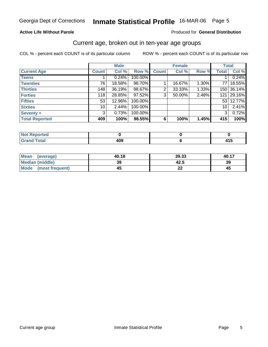#### **Active Life Without Parole**

#### Produced for **General Distribution**

### Current age, broken out in ten-year age groups

|                       |              | <b>Male</b> |         |              | <b>Female</b> |       | <b>Total</b>   |        |
|-----------------------|--------------|-------------|---------|--------------|---------------|-------|----------------|--------|
| <b>Current Age</b>    | <b>Count</b> | Col %       | Row %   | <b>Count</b> | Col %         | Row % | <b>Total</b>   | Col %  |
| <b>Teens</b>          |              | 0.24%       | 100.00% |              |               |       |                | 0.24%  |
| <b>Twenties</b>       | 76           | 18.58%      | 98.70%  |              | 16.67%        | 1.30% | 77 I           | 18.55% |
| <b>Thirties</b>       | 148          | 36.19%      | 98.67%  | 2            | 33.33%        | 1.33% | 150            | 36.14% |
| <b>Forties</b>        | 118          | 28.85%      | 97.52%  | 3            | 50.00%        | 2.48% | 121            | 29.16% |
| <b>Fifties</b>        | 53           | 12.96%      | 100.00% |              |               |       | 53 I           | 12.77% |
| <b>Sixties</b>        | 10           | 2.44%       | 100.00% |              |               |       | 10             | 2.41%  |
| Seventy +             | 3            | 0.73%       | 100.00% |              |               |       | 3 <sup>1</sup> | 0.72%  |
| <b>Total Reported</b> | 409          | 100%        | 98.55%  | 6            | 100%          | 1.45% | 415            | 100%   |

| <b><i>College Address</i></b><br>m.<br>τeα<br>$\sim$ and $\sim$ $\sim$ |     |     |
|------------------------------------------------------------------------|-----|-----|
| $f \wedge f \wedge f'$<br>$-0.011$<br>-                                | 100 | . . |

| Mean<br>(average)       | 40.18 | 39.33     | 40.17 |
|-------------------------|-------|-----------|-------|
| <b>Median (middle)</b>  | 39    | 42.5      | 39    |
| Mode<br>(most frequent) | 45    | 00<br>. . | 45    |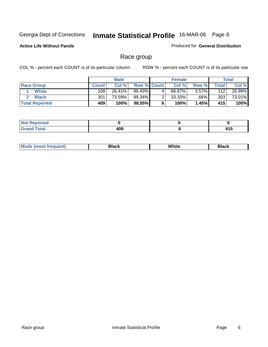### **Active Life Without Parole**

Produced for **General Distribution**

### Race group

|                       |              | <b>Male</b> |                    |   | <b>Female</b> |          |       | <b>Total</b> |
|-----------------------|--------------|-------------|--------------------|---|---------------|----------|-------|--------------|
| <b>Race Group</b>     | <b>Count</b> | Col %       | <b>Row % Count</b> |   | Col %         | Row %    | Total | Col %        |
| <b>White</b>          | 108          | $26.41\%$   | 96.43%             | 4 | 66.67%        | $3.57\%$ | 112   | $26.99\%$    |
| <b>Black</b>          | 301          | 73.59%      | 99.34%             | 2 | 33.33%        | $.66\%$  | 303   | 73.01%       |
| <b>Total Reported</b> | 409          | 100%        | 98.55%             |   | 100%          | 1.45%    | 415   | 100%         |

| norted<br>.<br>$\cdots$ |     |            |
|-------------------------|-----|------------|
| <b>Cotol</b><br>_____   | 409 | .<br>7 I J |

| ' M∩<br>nuemn<br> | Black | White | 3lack |
|-------------------|-------|-------|-------|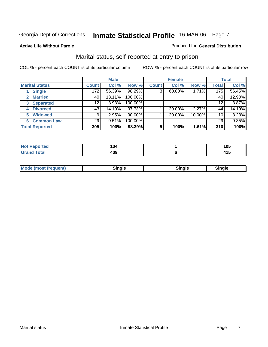#### **Active Life Without Parole**

#### Produced for **General Distribution**

### Marital status, self-reported at entry to prison

|                                  |              | <b>Male</b> |           |              | <b>Female</b> |        |              | <b>Total</b> |
|----------------------------------|--------------|-------------|-----------|--------------|---------------|--------|--------------|--------------|
| <b>Marital Status</b>            | <b>Count</b> | Col %       | Row %     | <b>Count</b> | Col %         | Row %  | <b>Total</b> | Col %        |
| <b>Single</b>                    | 172          | 56.39%      | 98.29%    | 3            | 60.00%        | 1.71%  | 175          | 56.45%       |
| <b>Married</b>                   | 40           | 13.11%      | 100.00%   |              |               |        | 40           | 12.90%       |
| <b>Separated</b><br>$\mathbf{3}$ | 12           | 3.93%       | 100.00%   |              |               |        | 12           | 3.87%        |
| <b>Divorced</b><br>4             | 43           | 14.10%      | 97.73%    |              | 20.00%        | 2.27%  | 44           | 14.19%       |
| <b>Widowed</b><br>5              | 9            | 2.95%       | $90.00\%$ |              | 20.00%        | 10.00% | 10           | 3.23%        |
| <b>Common Law</b><br>6           | 29           | 9.51%       | 100.00%   |              |               |        | 29           | 9.35%        |
| <b>Total Reported</b>            | 305          | 100%        | 98.39%    | 5            | 100%          | 1.61%  | 310          | 100%         |

|                      | 104<br>___ | ---<br>ט ו |
|----------------------|------------|------------|
| $\sim$ $\sim$ $\sim$ | ה ה        | .<br>7 I J |

|  | Mode (most frequent) | Sinale | ⊡nαle | male and a |
|--|----------------------|--------|-------|------------|
|--|----------------------|--------|-------|------------|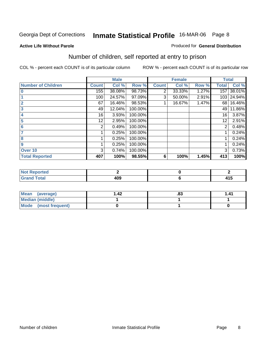#### **Active Life Without Parole**

#### Produced for **General Distribution**

### Number of children, self reported at entry to prison

|                           |              | <b>Male</b> |         |              | <b>Female</b> |       | <b>Total</b> |        |
|---------------------------|--------------|-------------|---------|--------------|---------------|-------|--------------|--------|
| <b>Number of Children</b> | <b>Count</b> | Col %       | Row %   | <b>Count</b> | Col %         | Row % | <b>Total</b> | Col %  |
|                           | 155          | 38.08%      | 98.73%  | 2            | 33.33%        | 1.27% | 157          | 38.01% |
|                           | 100          | 24.57%      | 97.09%  | 3            | 50.00%        | 2.91% | 103          | 24.94% |
| $\overline{2}$            | 67           | 16.46%      | 98.53%  |              | 16.67%        | 1.47% | 68           | 16.46% |
| 3                         | 49           | 12.04%      | 100.00% |              |               |       | 49           | 11.86% |
| 4                         | 16           | 3.93%       | 100.00% |              |               |       | 16           | 3.87%  |
| 5                         | 12           | 2.95%       | 100.00% |              |               |       | 12           | 2.91%  |
| 6                         | 2            | 0.49%       | 100.00% |              |               |       | 2            | 0.48%  |
|                           |              | 0.25%       | 100.00% |              |               |       |              | 0.24%  |
| 8                         |              | 0.25%       | 100.00% |              |               |       |              | 0.24%  |
| $\boldsymbol{9}$          |              | 0.25%       | 100.00% |              |               |       |              | 0.24%  |
| Over 10                   | 3            | 0.74%       | 100.00% |              |               |       | 3            | 0.73%  |
| <b>Total Reported</b>     | 407          | 100%        | 98.55%  | 6            | 100%          | 1.45% | 413          | 100%   |

| المناسبة المسا<br>тео<br>. |            |     |
|----------------------------|------------|-----|
| $T = 4$                    | <b>Anc</b> | . . |
| -                          | TV.        | ن ا |

| Mean<br>(average)    | l.42 | ده. | 1.41 |
|----------------------|------|-----|------|
| Median (middle)      |      |     |      |
| Mode (most frequent) |      |     |      |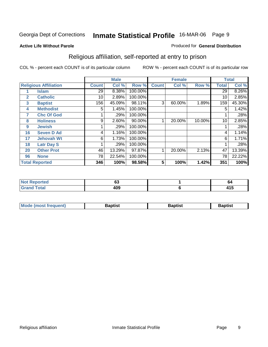#### **Active Life Without Parole**

#### Produced for **General Distribution**

### Religious affiliation, self-reported at entry to prison

|              |                              |                 | <b>Male</b> |         |              | <b>Female</b> |        |              | <b>Total</b> |
|--------------|------------------------------|-----------------|-------------|---------|--------------|---------------|--------|--------------|--------------|
|              | <b>Religious Affiliation</b> | <b>Count</b>    | Col %       | Row %   | <b>Count</b> | Col %         | Row %  | <b>Total</b> | Col %        |
|              | <b>Islam</b>                 | $\overline{29}$ | 8.38%       | 100.00% |              |               |        | 29           | 8.26%        |
| $\mathbf{2}$ | <b>Catholic</b>              | 10              | 2.89%       | 100.00% |              |               |        | 10           | 2.85%        |
| $\mathbf{3}$ | <b>Baptist</b>               | 156             | 45.09%      | 98.11%  | 3            | 60.00%        | 1.89%  | 159          | 45.30%       |
| 4            | <b>Methodist</b>             | 5               | 1.45%       | 100.00% |              |               |        | 5            | 1.42%        |
| 7            | <b>Chc Of God</b>            |                 | .29%        | 100.00% |              |               |        |              | .28%         |
| 8            | <b>Holiness</b>              | 9               | 2.60%       | 90.00%  |              | 20.00%        | 10.00% | 10           | 2.85%        |
| 9            | <b>Jewish</b>                |                 | .29%        | 100.00% |              |               |        |              | .28%         |
| 16           | <b>Seven D Ad</b>            | 4               | 1.16%       | 100.00% |              |               |        | 4            | 1.14%        |
| 17           | <b>Jehovah Wt</b>            | 6               | 1.73%       | 100.00% |              |               |        | 6            | 1.71%        |
| 18           | <b>Latr Day S</b>            |                 | .29%        | 100.00% |              |               |        |              | .28%         |
| 20           | <b>Other Prot</b>            | 46              | 13.29%      | 97.87%  |              | 20.00%        | 2.13%  | 47           | 13.39%       |
| 96           | <b>None</b>                  | 78              | 22.54%      | 100.00% |              |               |        | 78           | 22.22%       |
|              | <b>Total Reported</b>        | 346             | 100%        | 98.58%  | 5            | 100%          | 1.42%  | 351          | 100%         |

| тео | ^'<br>vv  | v                            |
|-----|-----------|------------------------------|
|     | ៱៱៱<br>__ | .<br>$\cdot$ $\cdot$ $\cdot$ |

| l Mo          | <b>aptist</b> | 3aptist              | Baptis. |
|---------------|---------------|----------------------|---------|
| <b>auent)</b> |               | $\sim$ $\sim$ $\sim$ |         |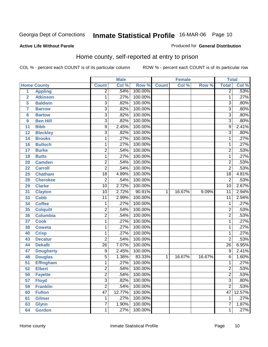#### **Active Life Without Parole**

#### Produced for **General Distribution**

### Home county, self-reported at entry to prison

|                         |                    |                 | <b>Male</b> |         |              | Female |        | <b>Total</b>    |        |
|-------------------------|--------------------|-----------------|-------------|---------|--------------|--------|--------|-----------------|--------|
|                         | <b>Home County</b> | <b>Count</b>    | Col %       | Row %   | <b>Count</b> | Col %  | Row %  | <b>Total</b>    | Col %  |
| $\overline{1}$          | <b>Appling</b>     | $\overline{2}$  | .54%        | 100.00% |              |        |        | $\overline{2}$  | .53%   |
| $\overline{\mathbf{2}}$ | <b>Atkinson</b>    | 1               | .27%        | 100.00% |              |        |        | 1               | .27%   |
| 5                       | <b>Baldwin</b>     | $\overline{3}$  | .82%        | 100.00% |              |        |        | 3               | .80%   |
| $\overline{7}$          | <b>Barrow</b>      | $\overline{3}$  | .82%        | 100.00% |              |        |        | $\overline{3}$  | .80%   |
| 8                       | <b>Bartow</b>      | $\overline{3}$  | .82%        | 100.00% |              |        |        | $\overline{3}$  | .80%   |
| 9                       | <b>Ben Hill</b>    | $\overline{3}$  | .82%        | 100.00% |              |        |        | $\overline{3}$  | .80%   |
| 11                      | <b>Bibb</b>        | $\overline{9}$  | 2.45%       | 100.00% |              |        |        | 9               | 2.41%  |
| 12                      | <b>Bleckley</b>    | 3               | .82%        | 100.00% |              |        |        | $\overline{3}$  | .80%   |
| 14                      | <b>Brooks</b>      | 1               | .27%        | 100.00% |              |        |        | 1               | .27%   |
| 16                      | <b>Bulloch</b>     | 1               | .27%        | 100.00% |              |        |        | 1               | .27%   |
| 17                      | <b>Burke</b>       | $\overline{2}$  | .54%        | 100.00% |              |        |        | $\overline{c}$  | .53%   |
| 18                      | <b>Butts</b>       | 1               | .27%        | 100.00% |              |        |        | 1               | .27%   |
| 20                      | <b>Camden</b>      | $\overline{2}$  | .54%        | 100.00% |              |        |        | $\overline{2}$  | .53%   |
| 22                      | <b>Carroll</b>     | $\overline{2}$  | .54%        | 100.00% |              |        |        | $\overline{2}$  | .53%   |
| 25                      | <b>Chatham</b>     | $\overline{18}$ | 4.89%       | 100.00% |              |        |        | 18              | 4.81%  |
| 28                      | <b>Cherokee</b>    | $\overline{2}$  | .54%        | 100.00% |              |        |        | $\overline{2}$  | .53%   |
| 29                      | <b>Clarke</b>      | $\overline{10}$ | 2.72%       | 100.00% |              |        |        | 10              | 2.67%  |
| 31                      | <b>Clayton</b>     | $\overline{10}$ | 2.72%       | 90.91%  | $\mathbf{1}$ | 16.67% | 9.09%  | $\overline{11}$ | 2.94%  |
| 33                      | <b>Cobb</b>        | 11              | 2.99%       | 100.00% |              |        |        | 11              | 2.94%  |
| 34                      | <b>Coffee</b>      | 1               | .27%        | 100.00% |              |        |        | $\mathbf{1}$    | .27%   |
| 35                      | <b>Colquitt</b>    | $\overline{2}$  | .54%        | 100.00% |              |        |        | $\overline{2}$  | .53%   |
| 36                      | <b>Columbia</b>    | $\overline{2}$  | .54%        | 100.00% |              |        |        | $\overline{2}$  | .53%   |
| 37                      | <b>Cook</b>        | 1               | .27%        | 100.00% |              |        |        | 1               | .27%   |
| 38                      | <b>Coweta</b>      | 1               | .27%        | 100.00% |              |        |        | 1               | .27%   |
| 40                      | <b>Crisp</b>       | 1               | .27%        | 100.00% |              |        |        | 1               | .27%   |
| 43                      | <b>Decatur</b>     | $\overline{2}$  | .54%        | 100.00% |              |        |        | $\overline{2}$  | .53%   |
| 44                      | <b>Dekalb</b>      | $\overline{26}$ | 7.07%       | 100.00% |              |        |        | $\overline{26}$ | 6.95%  |
| 47                      | <b>Dougherty</b>   | $\overline{9}$  | 2.45%       | 100.00% |              |        |        | $\overline{9}$  | 2.41%  |
| 48                      | <b>Douglas</b>     | 5               | 1.36%       | 83.33%  | 1            | 16.67% | 16.67% | $\overline{6}$  | 1.60%  |
| 51                      | <b>Effingham</b>   | 1               | .27%        | 100.00% |              |        |        | 1               | .27%   |
| 52                      | <b>Elbert</b>      | $\overline{2}$  | .54%        | 100.00% |              |        |        | $\overline{2}$  | .53%   |
| 56                      | <b>Fayette</b>     | $\overline{2}$  | .54%        | 100.00% |              |        |        | $\overline{2}$  | .53%   |
| 57                      | <b>Floyd</b>       | $\overline{3}$  | .82%        | 100.00% |              |        |        | $\overline{3}$  | .80%   |
| 59                      | <b>Franklin</b>    | $\overline{2}$  | .54%        | 100.00% |              |        |        | $\overline{2}$  | .53%   |
| 60                      | <b>Fulton</b>      | $\overline{47}$ | 12.77%      | 100.00% |              |        |        | 47              | 12.57% |
| 61                      | <b>Gilmer</b>      | 1               | .27%        | 100.00% |              |        |        | 1               | .27%   |
| 63                      | <b>Glynn</b>       | 7               | 1.90%       | 100.00% |              |        |        | $\overline{7}$  | 1.87%  |
| 64                      | <b>Gordon</b>      | 1               | .27%        | 100.00% |              |        |        | 1               | .27%   |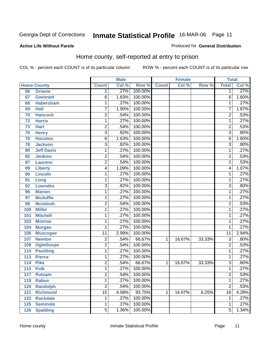#### **Active Life Without Parole**

#### Produced for **General Distribution**

### Home county, self-reported at entry to prison

|     |                    |                 | <b>Male</b> |         |              | <b>Female</b> |        | <b>Total</b>    |       |
|-----|--------------------|-----------------|-------------|---------|--------------|---------------|--------|-----------------|-------|
|     | <b>Home County</b> | <b>Count</b>    | Col %       | Row %   | <b>Count</b> | Col %         | Row %  | <b>Total</b>    | Col % |
| 66  | <b>Greene</b>      | $\mathbf 1$     | .27%        | 100.00% |              |               |        | 1               | .27%  |
| 67  | <b>Gwinnett</b>    | 6               | 1.63%       | 100.00% |              |               |        | $\overline{6}$  | 1.60% |
| 68  | <b>Habersham</b>   | 1               | .27%        | 100.00% |              |               |        | 1               | .27%  |
| 69  | <b>Hall</b>        | 7               | 1.90%       | 100.00% |              |               |        | 7               | 1.87% |
| 70  | <b>Hancock</b>     | $\overline{2}$  | .54%        | 100.00% |              |               |        | $\overline{2}$  | .53%  |
| 72  | <b>Harris</b>      | 1               | .27%        | 100.00% |              |               |        | $\mathbf{1}$    | .27%  |
| 73  | <b>Hart</b>        | 2               | .54%        | 100.00% |              |               |        | $\overline{2}$  | .53%  |
| 75  | <b>Henry</b>       | $\overline{3}$  | .82%        | 100.00% |              |               |        | $\overline{3}$  | .80%  |
| 76  | <b>Houston</b>     | 6               | 1.63%       | 100.00% |              |               |        | $\overline{6}$  | 1.60% |
| 78  | <b>Jackson</b>     | 3               | .82%        | 100.00% |              |               |        | $\overline{3}$  | .80%  |
| 80  | <b>Jeff Davis</b>  | 1               | .27%        | 100.00% |              |               |        | 1               | .27%  |
| 82  | <b>Jenkins</b>     | 2               | .54%        | 100.00% |              |               |        | $\overline{2}$  | .53%  |
| 87  | <b>Laurens</b>     | $\overline{2}$  | .54%        | 100.00% |              |               |        | $\overline{2}$  | .53%  |
| 89  | <b>Liberty</b>     | 4               | 1.09%       | 100.00% |              |               |        | 4               | 1.07% |
| 90  | <b>Lincoln</b>     | 1               | .27%        | 100.00% |              |               |        | 1               | .27%  |
| 91  | Long               | 1               | .27%        | 100.00% |              |               |        | $\mathbf{1}$    | .27%  |
| 92  | <b>Lowndes</b>     | $\overline{3}$  | .82%        | 100.00% |              |               |        | $\overline{3}$  | .80%  |
| 96  | <b>Marion</b>      | 1               | .27%        | 100.00% |              |               |        | 1               | .27%  |
| 97  | <b>Mcduffie</b>    | 1               | .27%        | 100.00% |              |               |        | 1               | .27%  |
| 98  | <b>Mcintosh</b>    | 2               | .54%        | 100.00% |              |               |        | $\overline{2}$  | .53%  |
| 100 | <b>Miller</b>      | 1               | .27%        | 100.00% |              |               |        | 1               | .27%  |
| 101 | <b>Mitchell</b>    | 1               | .27%        | 100.00% |              |               |        | 1               | .27%  |
| 102 | <b>Monroe</b>      | 1               | .27%        | 100.00% |              |               |        | 1               | .27%  |
| 104 | <b>Morgan</b>      | 1               | .27%        | 100.00% |              |               |        | $\mathbf{1}$    | .27%  |
| 106 | <b>Muscogee</b>    | $\overline{11}$ | 2.99%       | 100.00% |              |               |        | $\overline{11}$ | 2.94% |
| 107 | <b>Newton</b>      | $\overline{c}$  | .54%        | 66.67%  | $\mathbf{1}$ | 16.67%        | 33.33% | 3               | .80%  |
| 109 | <b>Oglethorpe</b>  | $\overline{2}$  | .54%        | 100.00% |              |               |        | 2               | .53%  |
| 110 | <b>Paulding</b>    | 1               | .27%        | 100.00% |              |               |        | $\mathbf{1}$    | .27%  |
| 113 | <b>Pierce</b>      | 1               | .27%        | 100.00% |              |               |        | 1               | .27%  |
| 114 | <b>Pike</b>        | 2               | .54%        | 66.67%  | 1            | 16.67%        | 33.33% | 3               | .80%  |
| 115 | <b>Polk</b>        | 1               | .27%        | 100.00% |              |               |        | 1               | .27%  |
| 117 | <b>Putnam</b>      | $\overline{2}$  | .54%        | 100.00% |              |               |        | $\overline{2}$  | .53%  |
| 119 | <b>Rabun</b>       | 1               | .27%        | 100.00% |              |               |        | 1               | .27%  |
| 120 | <b>Randolph</b>    | $\overline{2}$  | .54%        | 100.00% |              |               |        | $\overline{2}$  | .53%  |
| 121 | <b>Richmond</b>    | $\overline{15}$ | 4.08%       | 93.75%  | 1            | 16.67%        | 6.25%  | 16              | 4.28% |
| 122 | <b>Rockdale</b>    | 1               | .27%        | 100.00% |              |               |        | 1               | .27%  |
| 125 | <b>Seminole</b>    | 1               | .27%        | 100.00% |              |               |        | 1               | .27%  |
| 126 | <b>Spalding</b>    | $\overline{5}$  | 1.36%       | 100.00% |              |               |        | $\overline{5}$  | 1.34% |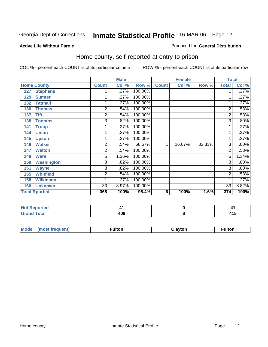#### **Active Life Without Parole**

### Produced for **General Distribution**

### Home county, self-reported at entry to prison

|     |                      |                | <b>Male</b> |         |                | <b>Female</b> |        | <b>Total</b>   |       |
|-----|----------------------|----------------|-------------|---------|----------------|---------------|--------|----------------|-------|
|     | <b>Home County</b>   | <b>Count</b>   | Col %       | Row %   | <b>Count</b>   | Col %         | Row %  | <b>Total</b>   | Col % |
| 127 | <b>Stephens</b>      |                | .27%        | 100.00% |                |               |        | 1.             | .27%  |
| 129 | <b>Sumter</b>        |                | .27%        | 100.00% |                |               |        | 1              | .27%  |
| 132 | <b>Tattnall</b>      |                | .27%        | 100.00% |                |               |        | 1              | .27%  |
| 136 | <b>Thomas</b>        | 2              | .54%        | 100.00% |                |               |        | $\overline{2}$ | .53%  |
| 137 | <b>Tift</b>          | 2              | .54%        | 100.00% |                |               |        | $\overline{2}$ | .53%  |
| 138 | <b>Toombs</b>        | 3              | .82%        | 100.00% |                |               |        | $\overline{3}$ | .80%  |
| 141 | <b>Troup</b>         |                | .27%        | 100.00% |                |               |        |                | .27%  |
| 144 | <b>Union</b>         |                | .27%        | 100.00% |                |               |        | 1              | .27%  |
| 145 | <b>Upson</b>         |                | .27%        | 100.00% |                |               |        | $\mathbf{1}$   | .27%  |
| 146 | <b>Walker</b>        | $\overline{2}$ | .54%        | 66.67%  | 1              | 16.67%        | 33.33% | 3              | .80%  |
| 147 | <b>Walton</b>        | 2              | .54%        | 100.00% |                |               |        | $\overline{2}$ | .53%  |
| 148 | <b>Ware</b>          | 5              | 1.36%       | 100.00% |                |               |        | 5              | 1.34% |
| 150 | <b>Washington</b>    | 3              | .82%        | 100.00% |                |               |        | $\overline{3}$ | .80%  |
| 151 | <b>Wayne</b>         | 3              | .82%        | 100.00% |                |               |        | 3              | .80%  |
| 155 | <b>Whitfield</b>     | 2              | .54%        | 100.00% |                |               |        | $\overline{2}$ | .53%  |
| 158 | <b>Wilkinson</b>     |                | .27%        | 100.00% |                |               |        | 1              | .27%  |
| 160 | <b>Unknown</b>       | 33             | 8.97%       | 100.00% |                |               |        | 33             | 8.82% |
|     | <b>Total Rported</b> | 368            | 100%        | 98.4%   | $6\phantom{1}$ | 100%          | 1.6%   | 374            | 100%  |

| <b>Reported</b><br> |            |                     |
|---------------------|------------|---------------------|
| <b>otal</b>         | ה ה<br>4VJ | 1 <i>8</i> E<br>41J |

| <b>Mou</b><br>ıltor<br>$-$<br> | $\sim$ $\sim$ | ultor |
|--------------------------------|---------------|-------|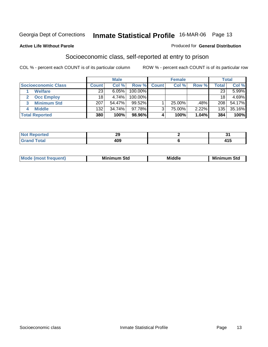#### **Active Life Without Parole**

#### Produced for **General Distribution**

### Socioeconomic class, self-reported at entry to prison

|                            |              | <b>Male</b> |         | <b>Female</b> |           |       | <b>Total</b> |        |
|----------------------------|--------------|-------------|---------|---------------|-----------|-------|--------------|--------|
| <b>Socioeconomic Class</b> | <b>Count</b> | Col %       | Row %   | <b>Count</b>  | Col %     | Row % | Total        | Col %  |
| <b>Welfare</b>             | 23           | 6.05%       | 100.00% |               |           |       | 23           | 5.99%  |
| <b>Occ Employ</b>          | 18           | 4.74%       | 100.00% |               |           |       | 18           | 4.69%  |
| <b>Minimum Std</b>         | 207          | 54.47%      | 99.52%  |               | $25.00\%$ | .48%  | 208          | 54.17% |
| <b>Middle</b>              | 132          | 34.74%      | 97.78%I | ີ             | 75.00%    | 2.22% | 135          | 35.16% |
| <b>Total Reported</b>      | 380          | 100%        | 98.96%  |               | 100%      | 1.04% | 384          | 100%   |

| and an an<br>тео | nr.<br>29 |  |
|------------------|-----------|--|
| --               | 409       |  |

| <b>Minin</b><br>Std<br>3td<br>aic<br>.<br>____ |
|------------------------------------------------|
|------------------------------------------------|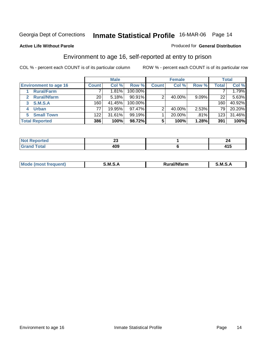#### **Active Life Without Parole**

#### Produced for **General Distribution**

### Environment to age 16, self-reported at entry to prison

|                              |                 | <b>Male</b> |           |              | <b>Female</b> |       |       | <b>Total</b> |
|------------------------------|-----------------|-------------|-----------|--------------|---------------|-------|-------|--------------|
| <b>Environment to age 16</b> | <b>Count</b>    | Col %       | Row %     | <b>Count</b> | Col %         | Row % | Total | Col %        |
| <b>Rural/Farm</b>            |                 | 1.81%       | 100.00%   |              |               |       |       | 1.79%        |
| <b>Rural/Nfarm</b><br>2      | 20 <sub>1</sub> | 5.18%       | $90.91\%$ |              | 40.00%        | 9.09% | 22    | 5.63%        |
| S.M.S.A<br>3                 | 160             | 41.45%      | 100.00%   |              |               |       | 160   | 40.92%       |
| <b>Urban</b>                 | 77 <sub>1</sub> | 19.95%      | $97.47\%$ | ⌒            | 40.00%        | 2.53% | 79    | 20.20%       |
| <b>Small Town</b><br>5.      | 122             | 31.61%      | 99.19%    |              | 20.00%        | .81%  | 123   | 31.46%       |
| <b>Total Reported</b>        | 386             | 100%        | 98.72%    |              | 100%          | 1.28% | 391   | 100%         |

| ∩rted<br>NO)                 | --  |      |
|------------------------------|-----|------|
| <b>Total</b><br><b>Grand</b> | 409 | - 12 |

| M | M | <b>17516</b><br>----- | M<br>Ð<br>______ |
|---|---|-----------------------|------------------|
|   |   |                       |                  |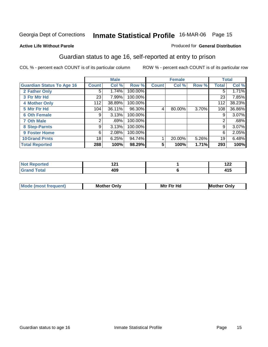#### **Active Life Without Parole**

#### Produced for **General Distribution**

### Guardian status to age 16, self-reported at entry to prison

|                                  |              | <b>Male</b> |         |              | <b>Female</b> |       |       | <b>Total</b> |
|----------------------------------|--------------|-------------|---------|--------------|---------------|-------|-------|--------------|
| <b>Guardian Status To Age 16</b> | <b>Count</b> | Col %       | Row %   | <b>Count</b> | Col %         | Row % | Total | Col %        |
| 2 Father Only                    | 5            | 1.74%       | 100.00% |              |               |       | 5     | 1.71%        |
| 3 Ftr Mtr Hd                     | 23           | 7.99%       | 100.00% |              |               |       | 23    | 7.85%        |
| <b>4 Mother Only</b>             | 112          | 38.89%      | 100.00% |              |               |       | 112   | 38.23%       |
| 5 Mtr Ftr Hd                     | 104          | 36.11%      | 96.30%  | 4            | 80.00%        | 3.70% | 108   | 36.86%       |
| <b>6 Oth Female</b>              | 9            | 3.13%       | 100.00% |              |               |       | 9     | 3.07%        |
| <b>7 Oth Male</b>                | 2            | .69%        | 100.00% |              |               |       | 2     | .68%         |
| 8 Step-Parnts                    | 9            | 3.13%       | 100.00% |              |               |       | 9     | 3.07%        |
| 9 Foster Home                    | 6            | 2.08%       | 100.00% |              |               |       | 6     | 2.05%        |
| <b>10 Grand Prnts</b>            | 18           | 6.25%       | 94.74%  |              | 20.00%        | 5.26% | 19    | 6.48%        |
| <b>Total Reported</b>            | 288          | 100%        | 98.29%  | 5            | 100%          | 1.71% | 293   | 100%         |

|   | $L_{\rm{L}}$ |
|---|--------------|
| . | .            |

| <b>Mod</b> | <b>Mother</b><br>Onlv | Hc<br>. <u>.</u><br>Mtr | Only |
|------------|-----------------------|-------------------------|------|
|            |                       |                         |      |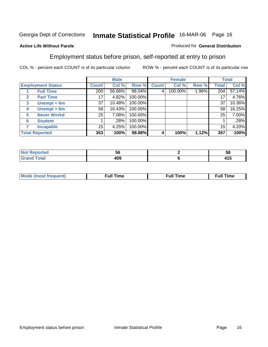### **Active Life Without Parole**

#### Produced for **General Distribution**

### Employment status before prison, self-reported at entry to prison

|              |                          |              | <b>Male</b> |         |              | <b>Female</b> |          |              | <b>Total</b> |
|--------------|--------------------------|--------------|-------------|---------|--------------|---------------|----------|--------------|--------------|
|              | <b>Employment Status</b> | <b>Count</b> | Col %       | Row %   | <b>Count</b> | Col %         | Row %    | <b>Total</b> | Col %        |
|              | <b>Full Time</b>         | 200          | 56.66%      | 98.04%  | 4            | 100.00%       | $1.96\%$ | 204          | 57.14%       |
| $\mathbf{2}$ | <b>Part Time</b>         | 17           | 4.82%       | 100.00% |              |               |          | 17           | 4.76%        |
| 3            | Unempl $<$ 6m            | 37           | 10.48%      | 100.00% |              |               |          | 37           | 10.36%       |
| 4            | Unempl $> 6m$            | 58           | 16.43%      | 100.00% |              |               |          | 58           | 16.25%       |
| 5            | <b>Never Workd</b>       | 25           | 7.08%       | 100.00% |              |               |          | 25           | 7.00%        |
| 6            | <b>Student</b>           |              | .28%        | 100.00% |              |               |          |              | .28%         |
|              | <b>Incapable</b>         | 15           | 4.25%       | 100.00% |              |               |          | 15           | 4.20%        |
|              | <b>Total Reported</b>    | 353          | 100%        | 98.88%  |              | 100%          | 1.12%    | 357          | 100%         |

|                 | . .<br><b>Jp</b> | - -<br>. .<br>ູບເ |
|-----------------|------------------|-------------------|
| $- - - - - - -$ | 409              | . .<br>טו ד       |

| Mo | un | ur<br>the contract of the contract of the contract of the contract of the contract of the contract of the contract of | <b>Full Time</b> |
|----|----|-----------------------------------------------------------------------------------------------------------------------|------------------|
|    |    |                                                                                                                       |                  |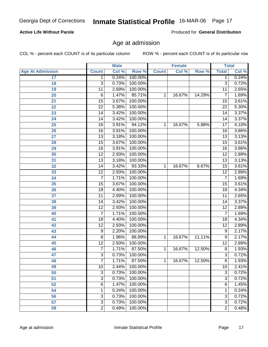#### **Active Life Without Parole**

Produced for **General Distribution**

### Age at admission

|                         |                 | <b>Male</b> |         |              | <b>Female</b> |        | <b>Total</b>    |       |
|-------------------------|-----------------|-------------|---------|--------------|---------------|--------|-----------------|-------|
| <b>Age At Admission</b> | <b>Count</b>    | Col %       | Row %   | <b>Count</b> | Col %         | Row %  | <b>Total</b>    | Col % |
| 17                      | 1               | 0.24%       | 100.00% |              |               |        | 1               | 0.24% |
| 18                      | $\overline{3}$  | 0.73%       | 100.00% |              |               |        | $\overline{3}$  | 0.72% |
| 19                      | 11              | 2.69%       | 100.00% |              |               |        | $\overline{11}$ | 2.65% |
| 20                      | $\overline{6}$  | 1.47%       | 85.71%  | 1            | 16.67%        | 14.29% | 7               | 1.69% |
| $\overline{21}$         | $\overline{15}$ | 3.67%       | 100.00% |              |               |        | $\overline{15}$ | 3.61% |
| $\overline{22}$         | $\overline{22}$ | 5.38%       | 100.00% |              |               |        | $\overline{22}$ | 5.30% |
| 23                      | $\overline{14}$ | 3.42%       | 100.00% |              |               |        | $\overline{14}$ | 3.37% |
| 24                      | $\overline{14}$ | 3.42%       | 100.00% |              |               |        | 14              | 3.37% |
| $\overline{25}$         | $\overline{16}$ | 3.91%       | 94.12%  | 1            | 16.67%        | 5.88%  | $\overline{17}$ | 4.10% |
| $\overline{26}$         | 16              | 3.91%       | 100.00% |              |               |        | 16              | 3.86% |
| 27                      | $\overline{13}$ | 3.18%       | 100.00% |              |               |        | $\overline{13}$ | 3.13% |
| 28                      | $\overline{15}$ | 3.67%       | 100.00% |              |               |        | $\overline{15}$ | 3.61% |
| 29                      | $\overline{16}$ | 3.91%       | 100.00% |              |               |        | $\overline{16}$ | 3.86% |
| 30                      | $\overline{12}$ | 2.93%       | 100.00% |              |               |        | $\overline{12}$ | 2.89% |
| 31                      | $\overline{13}$ | 3.18%       | 100.00% |              |               |        | $\overline{13}$ | 3.13% |
| 32                      | 14              | 3.42%       | 93.33%  | 1            | 16.67%        | 6.67%  | $\overline{15}$ | 3.61% |
| 33                      | $\overline{12}$ | 2.93%       | 100.00% |              |               |        | $\overline{12}$ | 2.89% |
| 34                      | 7               | 1.71%       | 100.00% |              |               |        | 7               | 1.69% |
| 35                      | $\overline{15}$ | 3.67%       | 100.00% |              |               |        | $\overline{15}$ | 3.61% |
| 36                      | 18              | 4.40%       | 100.00% |              |               |        | $\overline{18}$ | 4.34% |
| 37                      | $\overline{11}$ | 2.69%       | 100.00% |              |               |        | $\overline{11}$ | 2.65% |
| 38                      | $\overline{14}$ | 3.42%       | 100.00% |              |               |        | $\overline{14}$ | 3.37% |
| 39                      | $\overline{12}$ | 2.93%       | 100.00% |              |               |        | $\overline{12}$ | 2.89% |
| 40                      | $\overline{7}$  | 1.71%       | 100.00% |              |               |        | 7               | 1.69% |
| 41                      | 18              | 4.40%       | 100.00% |              |               |        | 18              | 4.34% |
| 42                      | $\overline{12}$ | 2.93%       | 100.00% |              |               |        | $\overline{12}$ | 2.89% |
| 43                      | $\overline{9}$  | 2.20%       | 100.00% |              |               |        | $\overline{9}$  | 2.17% |
| 44                      | 8               | 1.96%       | 88.89%  | 1            | 16.67%        | 11.11% | 9               | 2.17% |
| 45                      | $\overline{12}$ | 2.93%       | 100.00% |              |               |        | $\overline{12}$ | 2.89% |
| 46                      | $\overline{7}$  | 1.71%       | 87.50%  | 1            | 16.67%        | 12.50% | $\overline{8}$  | 1.93% |
| 47                      | $\overline{3}$  | 0.73%       | 100.00% |              |               |        | $\overline{3}$  | 0.72% |
| 48                      | $\overline{7}$  | 1.71%       | 87.50%  | 1            | 16.67%        | 12.50% | 8               | 1.93% |
| 49                      | 10              | 2.44%       | 100.00% |              |               |        | $\overline{10}$ | 2.41% |
| 50                      | 3               | 0.73%       | 100.00% |              |               |        | $\overline{3}$  | 0.72% |
| 51                      | 3               | 0.73%       | 100.00% |              |               |        | 3               | 0.72% |
| 52                      | 6               | 1.47%       | 100.00% |              |               |        | 6               | 1.45% |
| 54                      | 1               | 0.24%       | 100.00% |              |               |        | 1               | 0.24% |
| $\overline{56}$         | 3               | 0.73%       | 100.00% |              |               |        | 3               | 0.72% |
| 57                      | 3               | 0.73%       | 100.00% |              |               |        | $\overline{3}$  | 0.72% |
| 58                      | $\overline{2}$  | 0.49%       | 100.00% |              |               |        | $\overline{2}$  | 0.48% |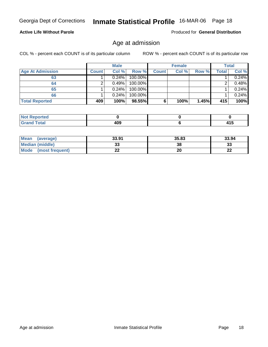#### **Active Life Without Parole**

Produced for **General Distribution**

### Age at admission

|                         |              | <b>Male</b> |         |              | <b>Female</b> |       |              | Total |
|-------------------------|--------------|-------------|---------|--------------|---------------|-------|--------------|-------|
| <b>Age At Admission</b> | <b>Count</b> | Col %       | Row %   | <b>Count</b> | Col %         | Row % | <b>Total</b> | Col % |
| 63                      |              | 0.24%       | 100.00% |              |               |       |              | 0.24% |
| 64                      | 2            | 0.49%       | 100.00% |              |               |       |              | 0.48% |
| 65                      |              | 0.24%       | 100.00% |              |               |       |              | 0.24% |
| 66                      |              | 0.24%       | 100.00% |              |               |       |              | 0.24% |
| <b>Total Reported</b>   | 409          | 100%        | 98.55%  | 6            | 100%          | 1.45% | 415          | 100%  |

| NO1<br>теа                                      |     |           |
|-------------------------------------------------|-----|-----------|
| $\sim$<br>$\sim$<br>$\sim$ $\sim$ $\sim$ $\sim$ | 409 | .<br>11 V |

| Mean<br>(average)       | 33.91 | 35.83 | 33.94        |
|-------------------------|-------|-------|--------------|
| Median (middle)         | JJ    | 38    | n n<br>აა    |
| Mode<br>(most frequent) | -4    | 20    | $\sim$<br>LL |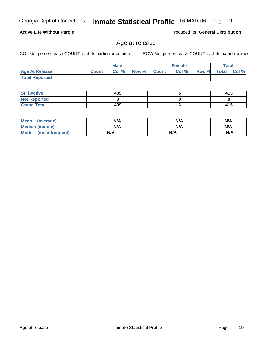**Not Reported Grand Total**

 **Still Active**

 **Total Reported**

| <b>Mean</b><br>(average)       | N/A | N/A | N/A |
|--------------------------------|-----|-----|-----|
| <b>Median (middle)</b>         | N/A | N/A | N/A |
| <b>Mode</b><br>(most frequent) | N/A | N/A | N/A |

 **Age At Release Count Col % Row % Count Col % Row % Total Col %** 

### Age at release

**Male**

 **409 0 409**

COL % - percent each COUNT is of its particular column ROW % - percent each COUNT is of its particular row

 **6 0 6**

Produced for **General Distribution**

**Female Total**

 **415 0 415**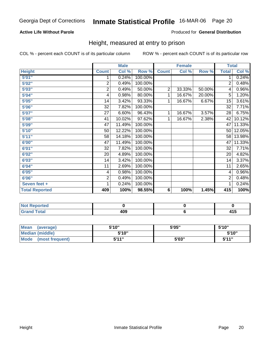### **Active Life Without Parole**

#### Produced for **General Distribution**

### Height, measured at entry to prison

|                       |                 | <b>Male</b> |         |                | <b>Female</b> |        | <b>Total</b>    |        |
|-----------------------|-----------------|-------------|---------|----------------|---------------|--------|-----------------|--------|
| <b>Height</b>         | <b>Count</b>    | Col %       | Row %   | <b>Count</b>   | Col %         | Row %  | <b>Total</b>    | Col %  |
| 5'01''                | 1               | 0.24%       | 100.00% |                |               |        | 1.              | 0.24%  |
| 5'02"                 | $\overline{2}$  | 0.49%       | 100.00% |                |               |        | $\overline{2}$  | 0.48%  |
| 5'03"                 | $\overline{c}$  | 0.49%       | 50.00%  | $\overline{2}$ | 33.33%        | 50.00% | 4               | 0.96%  |
| 5'04"                 | 4               | 0.98%       | 80.00%  | 1              | 16.67%        | 20.00% | $\overline{5}$  | 1.20%  |
| 5'05"                 | 14              | 3.42%       | 93.33%  | 1              | 16.67%        | 6.67%  | $\overline{15}$ | 3.61%  |
| 5'06"                 | 32              | 7.82%       | 100.00% |                |               |        | $\overline{32}$ | 7.71%  |
| 5'07''                | 27              | 6.60%       | 96.43%  | 1              | 16.67%        | 3.57%  | 28              | 6.75%  |
| 5'08"                 | 41              | 10.02%      | 97.62%  | 1              | 16.67%        | 2.38%  | 42              | 10.12% |
| 5'09''                | $\overline{47}$ | 11.49%      | 100.00% |                |               |        | 47              | 11.33% |
| 5'10''                | 50              | 12.22%      | 100.00% |                |               |        | 50              | 12.05% |
| 5'11"                 | 58              | 14.18%      | 100.00% |                |               |        | 58              | 13.98% |
| 6'00"                 | 47              | 11.49%      | 100.00% |                |               |        | 47              | 11.33% |
| 6'01"                 | 32              | 7.82%       | 100.00% |                |               |        | 32              | 7.71%  |
| 6'02"                 | 20              | 4.89%       | 100.00% |                |               |        | 20              | 4.82%  |
| 6'03''                | 14              | 3.42%       | 100.00% |                |               |        | $\overline{14}$ | 3.37%  |
| 6'04"                 | 11              | 2.69%       | 100.00% |                |               |        | 11              | 2.65%  |
| 6'05"                 | 4               | 0.98%       | 100.00% |                |               |        | 4               | 0.96%  |
| 6'06"                 | 2               | 0.49%       | 100.00% |                |               |        | 2               | 0.48%  |
| Seven feet +          | 1               | 0.24%       | 100.00% |                |               |        | 1               | 0.24%  |
| <b>Total Reported</b> | 409             | 100%        | 98.55%  | 6              | 100%          | 1.45%  | 415             | 100%   |

| ortea<br>. |             |       |
|------------|-------------|-------|
| $\sim$     | 409<br>$ -$ | 7 I J |

| Mean<br>(average)       | 5'10" | 5'05" | 5'10"        |
|-------------------------|-------|-------|--------------|
| <b>Median (middle)</b>  | 5'10" |       | 5'10"        |
| Mode<br>(most frequent) | 544"  | 5'03" | <b>K'11"</b> |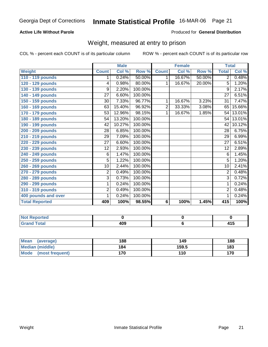### **Active Life Without Parole**

#### Produced for **General Distribution**

### Weight, measured at entry to prison

|                       |                 | <b>Male</b> |         |                | <b>Female</b> |        |                 | <b>Total</b> |
|-----------------------|-----------------|-------------|---------|----------------|---------------|--------|-----------------|--------------|
| Weight                | <b>Count</b>    | Col %       | Row %   | <b>Count</b>   | Col %         | Row %  | <b>Total</b>    | Col %        |
| 110 - 119 pounds      | 1               | 0.24%       | 50.00%  | 1.             | 16.67%        | 50.00% | $\overline{2}$  | 0.48%        |
| 120 - 129 pounds      | 4               | 0.98%       | 80.00%  | 1              | 16.67%        | 20.00% | $\overline{5}$  | 1.20%        |
| 130 - 139 pounds      | 9               | 2.20%       | 100.00% |                |               |        | 9               | 2.17%        |
| 140 - 149 pounds      | $\overline{27}$ | 6.60%       | 100.00% |                |               |        | $\overline{27}$ | 6.51%        |
| 150 - 159 pounds      | 30              | 7.33%       | 96.77%  | 1              | 16.67%        | 3.23%  | 31              | 7.47%        |
| 160 - 169 pounds      | 63              | 15.40%      | 96.92%  | 2              | 33.33%        | 3.08%  | 65              | 15.66%       |
| 170 - 179 pounds      | 53              | 12.96%      | 98.15%  | 1              | 16.67%        | 1.85%  | 54              | 13.01%       |
| 180 - 189 pounds      | 54              | 13.20%      | 100.00% |                |               |        | 54              | 13.01%       |
| 190 - 199 pounds      | 42              | 10.27%      | 100.00% |                |               |        | 42              | 10.12%       |
| 200 - 209 pounds      | $\overline{28}$ | 6.85%       | 100.00% |                |               |        | 28              | 6.75%        |
| 210 - 219 pounds      | 29              | 7.09%       | 100.00% |                |               |        | 29              | 6.99%        |
| 220 - 229 pounds      | $\overline{27}$ | 6.60%       | 100.00% |                |               |        | $\overline{27}$ | 6.51%        |
| 230 - 239 pounds      | $\overline{12}$ | 2.93%       | 100.00% |                |               |        | 12              | 2.89%        |
| 240 - 249 pounds      | 6               | 1.47%       | 100.00% |                |               |        | 6               | 1.45%        |
| 250 - 259 pounds      | $\overline{5}$  | 1.22%       | 100.00% |                |               |        | 5               | 1.20%        |
| 260 - 269 pounds      | 10              | 2.44%       | 100.00% |                |               |        | $\overline{10}$ | 2.41%        |
| 270 - 279 pounds      | 2               | 0.49%       | 100.00% |                |               |        | $\overline{2}$  | 0.48%        |
| 280 - 289 pounds      | $\overline{3}$  | 0.73%       | 100.00% |                |               |        | $\overline{3}$  | 0.72%        |
| 290 - 299 pounds      | 1               | 0.24%       | 100.00% |                |               |        | 1               | 0.24%        |
| 310 - 319 pounds      | $\overline{2}$  | 0.49%       | 100.00% |                |               |        | $\overline{2}$  | 0.48%        |
| 400 pounds and over   | 1               | 0.24%       | 100.00% |                |               |        | 1               | 0.24%        |
| <b>Total Reported</b> | 409             | 100%        | 98.55%  | $6\phantom{a}$ | 100%          | 1.45%  | 415             | 100%         |

| <b>NO</b><br>тео                             |             |            |
|----------------------------------------------|-------------|------------|
| $A + I$<br>$\sim$ $\sim$ $\sim$ $\sim$<br>-- | 100<br>$ -$ | <b>TIV</b> |

| Mean<br>(average)    | 188 | 149   | 188 |
|----------------------|-----|-------|-----|
| Median (middle)      | 184 | 159.5 | 183 |
| Mode (most frequent) | 170 | 110   | 170 |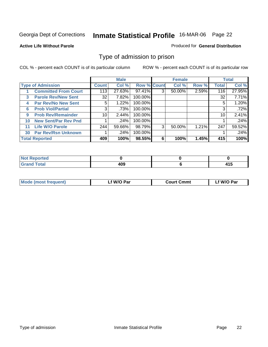#### **Active Life Without Parole**

#### Produced for **General Distribution**

### Type of admission to prison

|    |                             |                 | <b>Male</b> |                    |   | <b>Female</b> |       |              | <b>Total</b> |
|----|-----------------------------|-----------------|-------------|--------------------|---|---------------|-------|--------------|--------------|
|    | <b>Type of Admission</b>    | <b>Count</b>    | Col %       | <b>Row % Count</b> |   | Col %         | Row % | <b>Total</b> | Col %        |
|    | <b>Committed From Court</b> | 113             | 27.63%      | 97.41%             | 3 | 50.00%        | 2.59% | 116          | 27.95%       |
| 3  | <b>Parole Rev/New Sent</b>  | 32              | 7.82%       | 100.00%            |   |               |       | 32           | 7.71%        |
| 4  | <b>Par Rev/No New Sent</b>  | 5               | 1.22%       | 100.00%            |   |               |       | 5            | 1.20%        |
| 6  | <b>Prob Viol/Partial</b>    | 3               | .73%        | 100.00%            |   |               |       | 3            | .72%         |
| 9  | <b>Prob Rev/Remainder</b>   | 10 <sup>1</sup> | 2.44%       | 100.00%            |   |               |       | 10           | 2.41%        |
| 10 | <b>New Sent/Par Rev Pnd</b> |                 | .24%        | 100.00%            |   |               |       |              | .24%         |
| 11 | <b>Life W/O Parole</b>      | 244             | 59.66%      | 98.79%             | 3 | 50.00%        | 1.21% | 247          | 59.52%       |
| 30 | <b>Par Rev/Rsn Unknown</b>  |                 | .24%        | 100.00%            |   |               |       |              | .24%         |
|    | <b>Total Reported</b>       | 409             | 100%        | 98.55%             | 6 | 100%          | 1.45% | 415          | 100%         |

| ported?<br>NOT                 |     |          |
|--------------------------------|-----|----------|
| <b>Total</b><br>Cron<br>------ | 100 | .<br>- - |

| <b>Mode (most frequent)</b> | f W/O Par | <b>Court Cmmt</b> | `W/O Par |
|-----------------------------|-----------|-------------------|----------|
|                             |           |                   |          |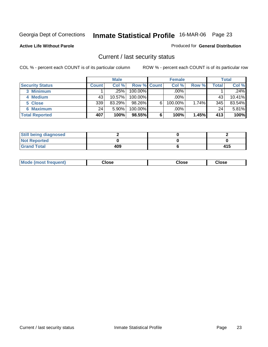#### **Active Life Without Parole**

#### Produced for **General Distribution**

### Current / last security status

|                        |              | <b>Male</b> |             |   | <b>Female</b> |       |       | Total  |
|------------------------|--------------|-------------|-------------|---|---------------|-------|-------|--------|
| <b>Security Status</b> | <b>Count</b> | Col %       | Row % Count |   | Col %         | Row % | Total | Col %  |
| 3 Minimum              |              | .25%        | 100.00%     |   | $.00\%$       |       |       | .24%   |
| 4 Medium               | 43           | 10.57%      | $100.00\%$  |   | $.00\%$       |       | 43    | 10.41% |
| 5 Close                | 339          | 83.29%      | 98.26%      | 6 | 100.00%       | 1.74% | 345   | 83.54% |
| 6 Maximum              | 24           | 5.90%       | $100.00\%$  |   | $.00\%$       |       | 24    | 5.81%  |
| <b>Total Reported</b>  | 407          | 100%        | 98.55%      | 6 | 100%          | 1.45% | 413   | 100%   |

| <b>Still being diagnosed</b> |     |     |
|------------------------------|-----|-----|
| <b>Not Reported</b>          |     |     |
| <b>Grand Total</b>           | 409 | 415 |

| <b>Mode (most frequent)</b> | Close | Close | Close |
|-----------------------------|-------|-------|-------|
|-----------------------------|-------|-------|-------|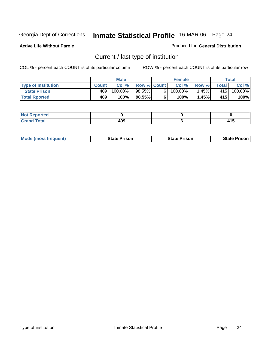**Active Life Without Parole** 

Produced for **General Distribution**

### Current / last type of institution

|                            |              | <b>Male</b> |                    | <b>Female</b> |          |              | Total   |
|----------------------------|--------------|-------------|--------------------|---------------|----------|--------------|---------|
| <b>Type of Institution</b> | <b>Count</b> | Col %       | <b>Row % Count</b> | Col %         | Row %    | <b>Total</b> | Col %   |
| <b>State Prison</b>        | 4091         | 100.00%     | 98.55%             | 100.00%」      | $1.45\%$ | 415          | 100.00% |
| <b>Total Rported</b>       | 409          | 100%        | 98.55%             | 100%          | 1.45%    | 415          | 100%    |

| σι    |     |    |
|-------|-----|----|
| -     | 400 | .  |
| _____ | אש  | __ |

|  | <b>Mode (most frequent)</b> | <b>State Prison</b> | <b>State Prison</b> | <b>State Prison</b> |
|--|-----------------------------|---------------------|---------------------|---------------------|
|--|-----------------------------|---------------------|---------------------|---------------------|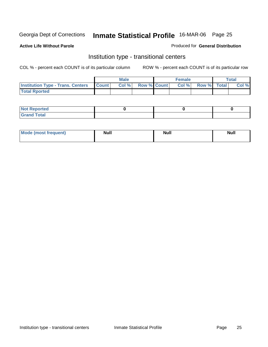**Active Life Without Parole** 

#### Produced for **General Distribution**

### Institution type - transitional centers

|                                                | <b>Male</b> |                          | <b>Female</b> |                   | <b>Total</b> |
|------------------------------------------------|-------------|--------------------------|---------------|-------------------|--------------|
| <b>Institution Type - Trans. Centers Count</b> |             | <b>Col %</b> Row % Count |               | Col % Row % Total | Col %        |
| <b>Total Rported</b>                           |             |                          |               |                   |              |

| <b>Reported</b><br><b>NOT</b> |  |  |
|-------------------------------|--|--|
| <b>Total</b><br>$C$ ro'<br>_  |  |  |

| <b>Mode (most frequent)</b> | <b>Null</b> | <b>Null</b> | <b>Null</b> |
|-----------------------------|-------------|-------------|-------------|
|                             |             |             |             |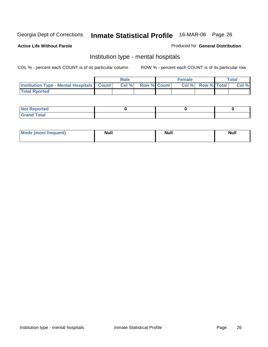### **Active Life Without Parole**

#### Produced for **General Distribution**

### Institution type - mental hospitals

|                                                  | <b>Male</b> |                    | <b>Female</b> |                          | Total |
|--------------------------------------------------|-------------|--------------------|---------------|--------------------------|-------|
| <b>Institution Type - Mental Hospitals Count</b> | Col %       | <b>Row % Count</b> |               | <b>Col %</b> Row % Total | Col % |
| <b>Total Rported</b>                             |             |                    |               |                          |       |

| <b>Not Reported</b> |  |  |
|---------------------|--|--|
| <b>Total</b><br>r.  |  |  |

| Mode (most frequent) | <b>Null</b> | <b>Null</b> | <b>Null</b> |
|----------------------|-------------|-------------|-------------|
|                      |             |             |             |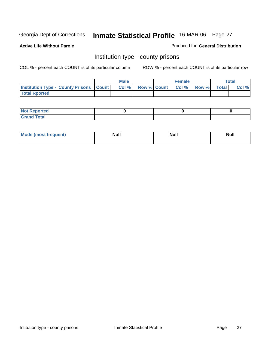**Active Life Without Parole** 

Produced for **General Distribution**

### Institution type - county prisons

|                                                    | <b>Male</b> |                    | <b>Female</b> |       |              | <b>Total</b> |
|----------------------------------------------------|-------------|--------------------|---------------|-------|--------------|--------------|
| <b>Institution Type - County Prisons   Count  </b> | Col %       | <b>Row % Count</b> | CoI%          | Row % | <b>Total</b> | Col %        |
| <b>Total Rported</b>                               |             |                    |               |       |              |              |

| <b>Not Reported</b>       |  |  |
|---------------------------|--|--|
| <b>otal</b><br>.Grar<br>- |  |  |

| <b>Mode</b><br><b>ost frequent)</b> | <b>Null</b> | <b>Modl</b><br>'YUI. | <b>Null</b> |
|-------------------------------------|-------------|----------------------|-------------|
|                                     |             |                      |             |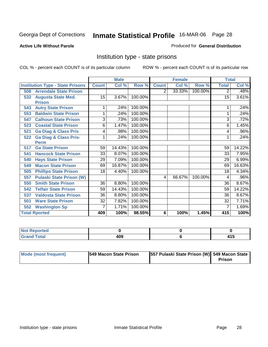#### **Active Life Without Parole**

#### Produced for **General Distribution**

### Institution type - state prisons

|                                         |                 | <b>Male</b> |         |                | <b>Female</b> |         | <b>Total</b> |        |
|-----------------------------------------|-----------------|-------------|---------|----------------|---------------|---------|--------------|--------|
| <b>Institution Type - State Prisons</b> | <b>Count</b>    | Col %       | Row %   | <b>Count</b>   | Col %         | Row %   | <b>Total</b> | Col %  |
| <b>Arrendale State Prison</b><br>508    |                 |             |         | $\overline{2}$ | 33.33%        | 100.00% | 2            | .48%   |
| 532<br><b>Augusta State Med.</b>        | $\overline{15}$ | 3.67%       | 100.00% |                |               |         | 15           | 3.61%  |
| <b>Prison</b>                           |                 |             |         |                |               |         |              |        |
| <b>Autry State Prison</b><br>543        | 1               | .24%        | 100.00% |                |               |         |              | .24%   |
| <b>Baldwin State Prison</b><br>553      | 1               | .24%        | 100.00% |                |               |         | 1            | .24%   |
| <b>Calhoun State Prison</b><br>547      | 3               | .73%        | 100.00% |                |               |         | 3            | .72%   |
| <b>Coastal State Prison</b><br>523      | 6               | 1.47%       | 100.00% |                |               |         | 6            | 1.45%  |
| <b>Ga Diag &amp; Class Pris</b><br>521  | 4               | .98%        | 100.00% |                |               |         | 4            | .96%   |
| <b>Ga Diag &amp; Class Pris-</b><br>522 |                 | .24%        | 100.00% |                |               |         |              | .24%   |
| <b>Perm</b>                             |                 |             |         |                |               |         |              |        |
| <b>Ga State Prison</b><br>517           | 59              | 14.43%      | 100.00% |                |               |         | 59           | 14.22% |
| <b>Hancock State Prison</b><br>541      | 33              | 8.07%       | 100.00% |                |               |         | 33           | 7.95%  |
| <b>Hays State Prison</b><br>540         | 29              | 7.09%       | 100.00% |                |               |         | 29           | 6.99%  |
| <b>Macon State Prison</b><br>549        | 69              | 16.87%      | 100.00% |                |               |         | 69           | 16.63% |
| <b>Phillips State Prison</b><br>505     | 18              | 4.40%       | 100.00% |                |               |         | 18           | 4.34%  |
| <b>Pulaski State Prison (W)</b><br>557  |                 |             |         | 4              | 66.67%        | 100.00% | 4            | .96%   |
| <b>Smith State Prison</b><br>550        | $\overline{36}$ | 8.80%       | 100.00% |                |               |         | 36           | 8.67%  |
| <b>Telfair State Prison</b><br>542      | 59              | 14.43%      | 100.00% |                |               |         | 59           | 14.22% |
| <b>Valdosta State Prison</b><br>537     | 36              | 8.80%       | 100.00% |                |               |         | 36           | 8.67%  |
| <b>Ware State Prison</b><br>501         | 32              | 7.82%       | 100.00% |                |               |         | 32           | 7.71%  |
| <b>Washington Sp</b><br>552             | 7               | 1.71%       | 100.00% |                |               |         | 7            | 1.69%  |
| <b>Total Rported</b>                    | 409             | 100%        | 98.55%  | 6              | 100%          | 1.45%   | 415          | 100%   |

| N <sub>of</sub><br><b>Reported</b><br>$\sim$ |     |                            |
|----------------------------------------------|-----|----------------------------|
| <b>Total</b><br>Cron<br>------               | 409 | <i><b>AAC</b></i><br>7 I J |

| Mode (most frequent) | <b>1549 Macon State Prison</b> | [557 Pulaski State Prison (W)] 549 Macon State |               |
|----------------------|--------------------------------|------------------------------------------------|---------------|
|                      |                                |                                                | <b>Prison</b> |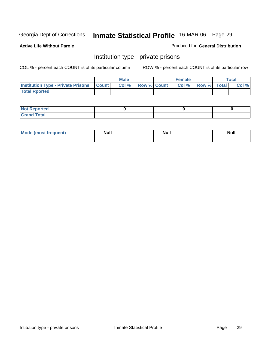#### **Active Life Without Parole**

#### Produced for **General Distribution**

### Institution type - private prisons

|                                                     | <b>Male</b> |                    | <b>Female</b> |             | <b>Total</b> |
|-----------------------------------------------------|-------------|--------------------|---------------|-------------|--------------|
| <b>Institution Type - Private Prisons   Count  </b> | Col%        | <b>Row % Count</b> | Col %         | Row % Total | Col %        |
| <b>Total Rported</b>                                |             |                    |               |             |              |

| <b>Not Reported</b>               |  |  |
|-----------------------------------|--|--|
| <b>Total</b><br>$C$ rar<br>$\sim$ |  |  |

| Mode (most frequent) | Null | <b>Null</b> | <b>Null</b> |
|----------------------|------|-------------|-------------|
|                      |      |             |             |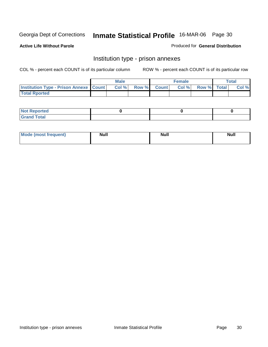**Active Life Without Parole** 

Produced for **General Distribution**

### Institution type - prison annexes

|                                                   | <b>Male</b> |             | <b>Female</b> |             | <b>Total</b> |
|---------------------------------------------------|-------------|-------------|---------------|-------------|--------------|
| <b>Institution Type - Prison Annexe   Count  </b> | Col %       | Row % Count | Col %         | Row % Total | Col %        |
| <b>Total Rported</b>                              |             |             |               |             |              |

| $N$ nt R<br>Reported         |  |  |
|------------------------------|--|--|
| <b>Total</b><br><b>Grano</b> |  |  |

| Mode (most frequent) | <b>Null</b> | <b>Null</b> | <b>Null</b> |
|----------------------|-------------|-------------|-------------|
|                      |             |             |             |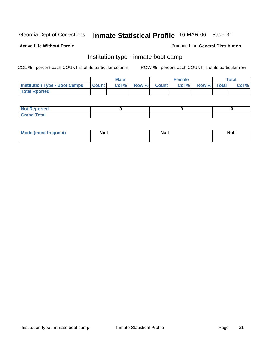**Active Life Without Parole** 

#### Produced for **General Distribution**

### Institution type - inmate boot camp

|                                      |              | <b>Male</b> |                    | Female |             | Total |
|--------------------------------------|--------------|-------------|--------------------|--------|-------------|-------|
| <b>Institution Type - Boot Camps</b> | <b>Count</b> | Col%        | <b>Row % Count</b> | Col %  | Row % Total | Col % |
| <b>Total Rported</b>                 |              |             |                    |        |             |       |

| <b>Not Reported</b> |  |  |
|---------------------|--|--|
| $f$ ota'<br>C<br>.  |  |  |

| <b>Mode (most frequent)</b> | <b>Null</b> | <b>Null</b> | <b>Null</b> |
|-----------------------------|-------------|-------------|-------------|
|                             |             |             |             |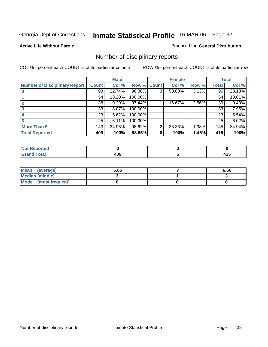#### **Active Life Without Parole**

#### Produced for **General Distribution**

### Number of disciplinary reports

|                               |              | <b>Male</b> |             |   | <b>Female</b> |          |       | <b>Total</b> |
|-------------------------------|--------------|-------------|-------------|---|---------------|----------|-------|--------------|
| Number of Disciplinary Report | <b>Count</b> | Col %       | Row % Count |   | Col %         | Row %    | Total | Col %        |
|                               | 93           | 22.74%      | 96.88%      | 3 | 50.00%        | 3.13%    | 96    | 23.13%       |
|                               | 54           | 13.20%      | 100.00%     |   |               |          | 54    | 13.01%       |
|                               | 38           | 9.29%       | 97.44%      |   | 16.67%        | $2.56\%$ | 39    | 9.40%        |
| 3                             | 33           | 8.07%       | 100.00%     |   |               |          | 33    | 7.95%        |
|                               | 23           | 5.62%       | 100.00%     |   |               |          | 23    | 5.54%        |
| 5                             | 25           | 6.11%       | 100.00%     |   |               |          | 25    | 6.02%        |
| <b>More Than 5</b>            | 143          | 34.96%      | 98.62%      | 2 | 33.33%        | 1.38%    | 145   | 34.94%       |
| <b>Total Reported</b>         | 409          | 100%        | 98.55%      | 6 | 100%          | 1.45%    | 415   | 100%         |

| тео.<br>N       |                     |                    |
|-----------------|---------------------|--------------------|
| $int^{\bullet}$ | Anr<br>TV J<br>$ -$ | . .<br>.<br>$\sim$ |

| Mean (average)       | 6.65 | 6.66 |
|----------------------|------|------|
| Median (middle)      |      |      |
| Mode (most frequent) |      |      |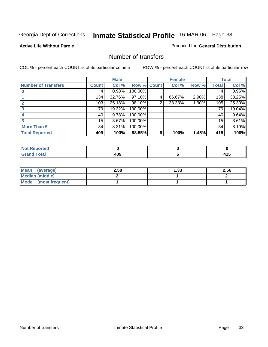#### **Active Life Without Parole**

#### Produced for **General Distribution**

### Number of transfers

|                            |        | <b>Male</b> |             |                | <b>Female</b> |       |              | <b>Total</b> |
|----------------------------|--------|-------------|-------------|----------------|---------------|-------|--------------|--------------|
| <b>Number of Transfers</b> | Count! | Col %       | Row % Count |                | Col %         | Row % | <b>Total</b> | Col %        |
|                            |        | 0.98%       | 100.00%     |                |               |       | 4            | 0.96%        |
|                            | 134    | 32.76%      | 97.10%      | 4              | 66.67%        | 2.90% | 138          | 33.25%       |
| $\mathbf{c}$               | 103    | 25.18%      | 98.10%      | $\overline{2}$ | 33.33%        | 1.90% | 105          | 25.30%       |
| 3                          | 79     | 19.32%      | 100.00%     |                |               |       | 79           | 19.04%       |
|                            | 40     | 9.78%       | 100.00%     |                |               |       | 40           | 9.64%        |
|                            | 15     | 3.67%       | 100.00%     |                |               |       | 15           | 3.61%        |
| <b>More Than 5</b>         | 34     | 8.31%       | 100.00%     |                |               |       | 34           | 8.19%        |
| <b>Total Reported</b>      | 409    | 100%        | 98.55%      | 6              | 100%          | 1.45% | 415          | 100%         |

| .<br>τeα<br>N |                |                 |
|---------------|----------------|-----------------|
| - - - - -     | .<br>m<br>$ -$ | 1 I V<br>$\sim$ |

| Mean (average)       | 2.58 | 1.33 | 2.56 |
|----------------------|------|------|------|
| Median (middle)      |      |      |      |
| Mode (most frequent) |      |      |      |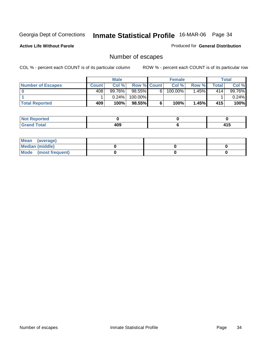**Active Life Without Parole** 

Produced for **General Distribution**

### Number of escapes

|                          |              | <b>Male</b> |                    |    | <b>Female</b> |         |       | Total    |
|--------------------------|--------------|-------------|--------------------|----|---------------|---------|-------|----------|
| <b>Number of Escapes</b> | <b>Count</b> | Col %       | <b>Row % Count</b> |    | Col %         | Row %   | Total | Col %    |
|                          | 408          | 99.76%      | 98.55% <b>I</b>    | 6. | 100.00%       | 1.45% I | 414   | 99.76%   |
|                          |              | 0.24%       | 100.00%            |    |               |         |       | $0.24\%$ |
| <b>Total Reported</b>    | 409          | 100%        | 98.55%             | 6  | 100%          | 1.45%   | 415   | 100%     |

| the seat of the<br>n eo<br>NO. |     |       |
|--------------------------------|-----|-------|
| <b>Total</b>                   | 10C | 1 A L |
| ا dilu                         | TVJ | 4 I J |

| Mean (average)       |  |  |
|----------------------|--|--|
| Median (middle)      |  |  |
| Mode (most frequent) |  |  |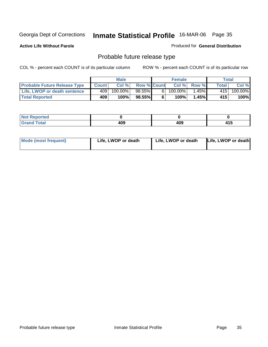**Active Life Without Parole** 

Produced for **General Distribution**

### Probable future release type

|                                     |              | <b>Male</b> |                    |   | <b>Female</b> |             | Total              |         |
|-------------------------------------|--------------|-------------|--------------------|---|---------------|-------------|--------------------|---------|
| <b>Probable Future Release Type</b> | <b>Count</b> | Col%        | <b>Row % Count</b> |   |               | Col % Row % | Total <sub>1</sub> | Col %   |
| <b>Life, LWOP or death sentence</b> | 4091         | $100.00\%$  | 98.55%             | 6 | 100.00%       | $1.45\%$    | 415                | 100.00% |
| <b>Total Reported</b>               | 409          | 100%        | 98.55%             | 6 | 100%          | 1.45%       | 415                | 100%    |

| <b>rted</b>           |     |     |               |
|-----------------------|-----|-----|---------------|
| <b>otal</b><br>------ | 409 | 409 | 44 E<br>1 I J |

| <b>Mode (most frequent)</b> | Life, LWOP or death | Life, LWOP or death | Life, LWOP or death |
|-----------------------------|---------------------|---------------------|---------------------|
|-----------------------------|---------------------|---------------------|---------------------|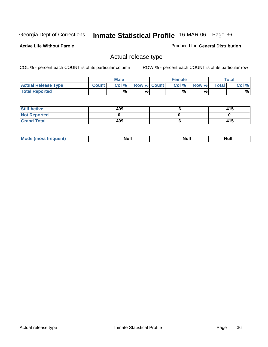**Active Life Without Parole** 

Produced for **General Distribution**

### Actual release type

|                            |         | <b>Male</b> |                    | Female |       |              | $\tau$ otal |
|----------------------------|---------|-------------|--------------------|--------|-------|--------------|-------------|
| <b>Actual Release Type</b> | Count i | Col %       | <b>Row % Count</b> | Col %  | Row % | <b>Total</b> | Col %       |
| <b>Total Reported</b>      |         | %           | %                  | %      | %     |              | %           |

| <b>Still Active</b> | 409 | 415 |
|---------------------|-----|-----|
| <b>Not Reported</b> |     |     |
| <b>Grand Total</b>  | 409 | 415 |

| - -<br>ш | ,,,,,, |
|----------|--------|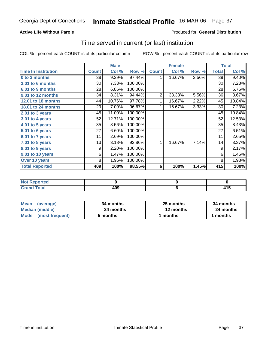### **Active Life Without Parole**

#### Produced for **General Distribution**

### Time served in current (or last) institution

|                            |              | <b>Male</b> |         |                 | <b>Female</b> |       |              | <b>Total</b> |
|----------------------------|--------------|-------------|---------|-----------------|---------------|-------|--------------|--------------|
| <b>Time In Institution</b> | <b>Count</b> | Col %       | Row %   | <b>Count</b>    | Col %         | Row % | <b>Total</b> | Col %        |
| 0 to 3 months              | 38           | 9.29%       | 97.44%  |                 | 16.67%        | 2.56% | 39           | 9.40%        |
| <b>3.01 to 6 months</b>    | 30           | 7.33%       | 100.00% |                 |               |       | 30           | 7.23%        |
| 6.01 to 9 months           | 28           | 6.85%       | 100.00% |                 |               |       | 28           | 6.75%        |
| 9.01 to 12 months          | 34           | 8.31%       | 94.44%  | $\overline{2}$  | 33.33%        | 5.56% | 36           | 8.67%        |
| 12.01 to 18 months         | 44           | 10.76%      | 97.78%  | 1               | 16.67%        | 2.22% | 45           | 10.84%       |
| 18.01 to 24 months         | 29           | 7.09%       | 96.67%  | 1               | 16.67%        | 3.33% | 30           | 7.23%        |
| 2.01 to 3 years            | 45           | 11.00%      | 100.00% |                 |               |       | 45           | 10.84%       |
| 3.01 to 4 years            | 52           | 12.71%      | 100.00% |                 |               |       | 52           | 12.53%       |
| 4.01 to 5 years            | 35           | 8.56%       | 100.00% |                 |               |       | 35           | 8.43%        |
| 5.01 to 6 years            | 27           | 6.60%       | 100.00% |                 |               |       | 27           | 6.51%        |
| 6.01 to 7 years            | 11           | 2.69%       | 100.00% |                 |               |       | 11           | 2.65%        |
| $7.01$ to 8 years          | 13           | 3.18%       | 92.86%  | 1               | 16.67%        | 7.14% | 14           | 3.37%        |
| 8.01 to 9 years            | 9            | 2.20%       | 100.00% |                 |               |       | 9            | 2.17%        |
| 9.01 to 10 years           | 6            | 1.47%       | 100.00% |                 |               |       | 6            | 1.45%        |
| Over 10 years              | 8            | 1.96%       | 100.00% |                 |               |       | 8            | 1.93%        |
| <b>Total Reported</b>      | 409          | 100%        | 98.55%  | $6\phantom{1}6$ | 100%          | 1.45% | 415          | 100%         |

| <b>Not Reported</b> |     |  |
|---------------------|-----|--|
| $f$ ota!            | 409 |  |

| <b>Mean</b><br>(average) | 34 months | 25 months | 34 months |
|--------------------------|-----------|-----------|-----------|
| Median (middle)          | 24 months | 12 months | 24 months |
| Mode (most frequent)     | 5 months  | l months  | 1 months  |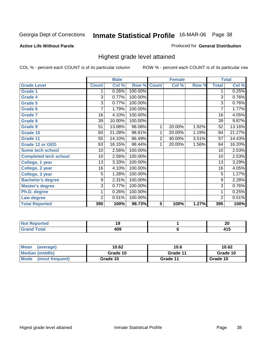#### **Active Life Without Parole**

#### Produced for **General Distribution**

### Highest grade level attained

|                              |                | <b>Male</b> |                    |   | <b>Female</b> |       |                 | <b>Total</b> |
|------------------------------|----------------|-------------|--------------------|---|---------------|-------|-----------------|--------------|
| <b>Grade Level</b>           | <b>Count</b>   | Col %       | <b>Row % Count</b> |   | Col %         | Row % | <b>Total</b>    | Col %        |
| <b>Grade 1</b>               | 1              | 0.26%       | 100.00%            |   |               |       | 1               | 0.25%        |
| <b>Grade 4</b>               | 3              | 0.77%       | 100.00%            |   |               |       | 3               | 0.76%        |
| Grade 5                      | 3              | 0.77%       | 100.00%            |   |               |       | 3               | 0.76%        |
| Grade 6                      | 7              | 1.79%       | 100.00%            |   |               |       | 7               | 1.77%        |
| <b>Grade 7</b>               | 16             | 4.10%       | 100.00%            |   |               |       | 16              | 4.05%        |
| <b>Grade 8</b>               | 39             | 10.00%      | 100.00%            |   |               |       | 39              | 9.87%        |
| <b>Grade 9</b>               | 51             | 13.08%      | 98.08%             | 1 | 20.00%        | 1.92% | 52              | 13.16%       |
| Grade 10                     | 83             | 21.28%      | 98.81%             | 1 | 20.00%        | 1.19% | 84              | 21.27%       |
| Grade 11                     | 55             | 14.10%      | 96.49%             | 2 | 40.00%        | 3.51% | 57              | 14.43%       |
| <b>Grade 12 or GED</b>       | 63             | 16.15%      | 98.44%             | 1 | 20.00%        | 1.56% | 64              | 16.20%       |
| <b>Some tech school</b>      | 10             | 2.56%       | 100.00%            |   |               |       | 10 <sup>1</sup> | 2.53%        |
| <b>Completed tech school</b> | 10             | 2.56%       | 100.00%            |   |               |       | 10              | 2.53%        |
| College, 1 year              | 13             | 3.33%       | 100.00%            |   |               |       | 13              | 3.29%        |
| College, 2 year              | 16             | 4.10%       | 100.00%            |   |               |       | 16              | 4.05%        |
| College, 3 year              | 5              | 1.28%       | 100.00%            |   |               |       | 5               | 1.27%        |
| <b>Bachelor's degree</b>     | 9              | 2.31%       | 100.00%            |   |               |       | $\overline{9}$  | 2.28%        |
| <b>Master's degree</b>       | 3              | 0.77%       | 100.00%            |   |               |       | 3               | 0.76%        |
| Ph.D. degree                 |                | 0.26%       | 100.00%            |   |               |       | 1               | 0.25%        |
| Law degree                   | $\overline{2}$ | 0.51%       | 100.00%            |   |               |       | $\overline{c}$  | 0.51%        |
| <b>Total Reported</b>        | 390            | 100%        | 98.73%             | 5 | 100%          | 1.27% | 395             | 100%         |

| .       |       | - -   |
|---------|-------|-------|
| τeα     |       | n,    |
| NO      | ıJ    | ZU    |
| <b></b> | 10C   | .     |
| $\sim$  | $+0z$ | . . ∪ |

| <b>Mean</b><br>(average) | 10.62    | 10.6     | 10.62    |
|--------------------------|----------|----------|----------|
| Median (middle)          | Grade 10 | Grade 11 | Grade 10 |
| Mode (most frequent)     | Grade 10 | Grade 11 | Grade 10 |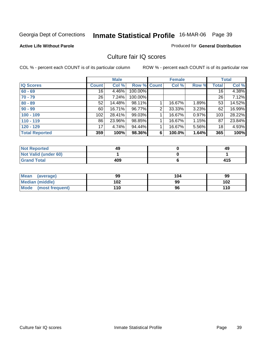### **Active Life Without Parole**

### Produced for **General Distribution**

### Culture fair IQ scores

|                       |                 | <b>Male</b> |             |                | <b>Female</b> |       |       | <b>Total</b> |
|-----------------------|-----------------|-------------|-------------|----------------|---------------|-------|-------|--------------|
| <b>IQ Scores</b>      | <b>Count</b>    | Col %       | Row % Count |                | Col %         | Row % | Total | Col %        |
| $60 - 69$             | 16              | 4.46%       | 100.00%     |                |               |       | 16    | 4.38%        |
| $70 - 79$             | 26 <sup>1</sup> | 7.24%       | 100.00%     |                |               |       | 26    | 7.12%        |
| $80 - 89$             | 52              | 14.48%      | 98.11%      |                | 16.67%        | 1.89% | 53    | 14.52%       |
| $90 - 99$             | 60              | 16.71%      | 96.77%      | $\overline{2}$ | 33.33%        | 3.23% | 62    | 16.99%       |
| $100 - 109$           | 102             | 28.41%      | 99.03%      |                | 16.67%        | 0.97% | 103   | 28.22%       |
| $110 - 119$           | 86              | 23.96%      | 98.85%      |                | 16.67%        | 1.15% | 87    | 23.84%       |
| $120 - 129$           | 17              | 4.74%       | 94.44%      |                | 16.67%        | 5.56% | 18    | 4.93%        |
| <b>Total Reported</b> | 359             | 100%        | 98.36%      | 6              | 100.0%        | 1.64% | 365   | 100%         |

| <b>Not Reported</b>         | 49  | 49  |
|-----------------------------|-----|-----|
| <b>Not Valid (under 60)</b> |     |     |
| <b>Grand Total</b>          | 409 | 415 |

| Mean (average)         | 99  | 104 | 99  |
|------------------------|-----|-----|-----|
| <b>Median (middle)</b> | 102 | 99  | 102 |
| Mode (most frequent)   | 110 | 96  | 110 |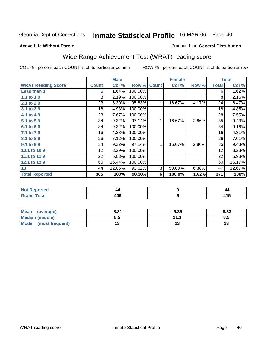#### **Active Life Without Parole**

#### Produced for **General Distribution**

# Wide Range Achievement Test (WRAT) reading score

|                           |              | <b>Male</b> |         |              | <b>Female</b>  |       |              | <b>Total</b> |
|---------------------------|--------------|-------------|---------|--------------|----------------|-------|--------------|--------------|
| <b>WRAT Reading Score</b> | <b>Count</b> | Col %       | Row %   | <b>Count</b> | Col %          | Row % | <b>Total</b> | Col %        |
| Less than 1               | 6            | 1.64%       | 100.00% |              |                |       | 6            | 1.62%        |
| 1.1 to 1.9                | 8            | 2.19%       | 100.00% |              |                |       | 8            | 2.16%        |
| 2.1 to 2.9                | 23           | 6.30%       | 95.83%  | 1            | 16.67%         | 4.17% | 24           | 6.47%        |
| 3.1 to 3.9                | 18           | 4.93%       | 100.00% |              |                |       | 18           | 4.85%        |
| 4.1 to 4.9                | 28           | 7.67%       | 100.00% |              |                |       | 28           | 7.55%        |
| 5.1 to 5.9                | 34           | 9.32%       | 97.14%  | 1            | 16.67%         | 2.86% | 35           | 9.43%        |
| 6.1 to 6.9                | 34           | 9.32%       | 100.00% |              |                |       | 34           | 9.16%        |
| 7.1 to 7.9                | 16           | 4.38%       | 100.00% |              |                |       | 16           | 4.31%        |
| 8.1 to 8.9                | 26           | 7.12%       | 100.00% |              |                |       | 26           | 7.01%        |
| 9.1 to 9.9                | 34           | 9.32%       | 97.14%  | 1            | 16.67%         | 2.86% | 35           | 9.43%        |
| 10.1 to 10.9              | 12           | 3.29%       | 100.00% |              |                |       | 12           | 3.23%        |
| 11.1 to 11.9              | 22           | 6.03%       | 100.00% |              |                |       | 22           | 5.93%        |
| 12.1 to 12.9              | 60           | 16.44%      | 100.00% |              |                |       | 60           | 16.17%       |
| 13                        | 44           | 12.05%      | 93.62%  | 3            | 50.00%         | 6.38% | 47           | 12.67%       |
| <b>Total Reported</b>     | 365          | 100%        | 98.38%  | 6            | 100.0%         | 1.62% | 371          | 100%         |
|                           |              |             |         |              |                |       |              |              |
| <b>Not Reported</b>       |              | 44          |         |              | $\pmb{0}$      |       |              | 44           |
| <b>Grand Total</b>        |              | 409         |         |              | $6\phantom{1}$ |       |              | 415          |

| Mean (average)         | 8.31 | 9.35 | 8.33 |
|------------------------|------|------|------|
| <b>Median (middle)</b> | 8.5  | 4444 | 8.5  |
| Mode (most frequent)   | ט ו  | ں ∟  |      |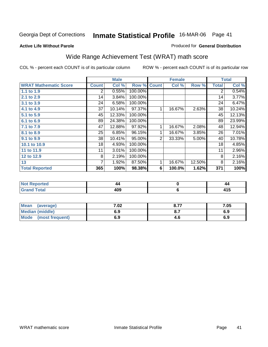#### **Active Life Without Parole**

#### Produced for **General Distribution**

# Wide Range Achievement Test (WRAT) math score

|                              |                | <b>Male</b> |         |              | <b>Female</b> |        |                | <b>Total</b> |
|------------------------------|----------------|-------------|---------|--------------|---------------|--------|----------------|--------------|
| <b>WRAT Mathematic Score</b> | <b>Count</b>   | Col %       | Row %   | <b>Count</b> | Col %         | Row %  | <b>Total</b>   | Col %        |
| $1.1$ to $1.9$               | $\overline{2}$ | 0.55%       | 100.00% |              |               |        | $\overline{2}$ | 0.54%        |
| 2.1 to 2.9                   | 14             | 3.84%       | 100.00% |              |               |        | 14             | 3.77%        |
| 3.1 to 3.9                   | 24             | 6.58%       | 100.00% |              |               |        | 24             | 6.47%        |
| 4.1 to 4.9                   | 37             | 10.14%      | 97.37%  |              | 16.67%        | 2.63%  | 38             | 10.24%       |
| 5.1 to 5.9                   | 45             | 12.33%      | 100.00% |              |               |        | 45             | 12.13%       |
| 6.1 to 6.9                   | 89             | 24.38%      | 100.00% |              |               |        | 89             | 23.99%       |
| 7.1 to 7.9                   | 47             | 12.88%      | 97.92%  | 1            | 16.67%        | 2.08%  | 48             | 12.94%       |
| 8.1 to 8.9                   | 25             | 6.85%       | 96.15%  | 1            | 16.67%        | 3.85%  | 26             | 7.01%        |
| 9.1 to 9.9                   | 38             | 10.41%      | 95.00%  | 2            | 33.33%        | 5.00%  | 40             | 10.78%       |
| 10.1 to 10.9                 | 18             | 4.93%       | 100.00% |              |               |        | 18             | 4.85%        |
| 11 to 11.9                   | 11             | 3.01%       | 100.00% |              |               |        | 11             | 2.96%        |
| 12 to 12.9                   | 8              | 2.19%       | 100.00% |              |               |        | 8              | 2.16%        |
| 13                           |                | 1.92%       | 87.50%  |              | 16.67%        | 12.50% | 8              | 2.16%        |
| <b>Total Reported</b>        | 365            | 100%        | 98.38%  | 6            | 100.0%        | 1.62%  | 371            | 100%         |

| neo                     | 44         | 44 |
|-------------------------|------------|----|
| υιαι<br>$- \cdot \cdot$ | 000<br>TVJ | .  |

| <b>Mean</b><br>(average) | 7.02 | 077<br>O.I.                   | 7.05 |
|--------------------------|------|-------------------------------|------|
| <b>Median (middle)</b>   | 6.9  | $\mathbf{o} \cdot \mathbf{v}$ | 6.9  |
| Mode<br>(most frequent)  | 6.9  | 4.C                           | 6.9  |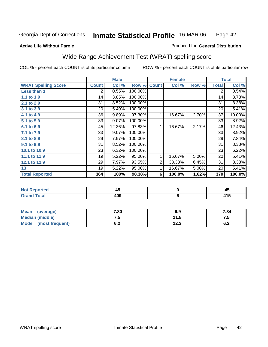#### **Active Life Without Parole**

#### Produced for **General Distribution**

### Wide Range Achievement Test (WRAT) spelling score

|                            |                | <b>Male</b> |         |                | <b>Female</b> |       |                | <b>Total</b> |
|----------------------------|----------------|-------------|---------|----------------|---------------|-------|----------------|--------------|
| <b>WRAT Spelling Score</b> | <b>Count</b>   | Col %       | Row %   | <b>Count</b>   | Col %         | Row % | <b>Total</b>   | Col %        |
| Less than 1                | $\overline{2}$ | 0.55%       | 100.00% |                |               |       | $\overline{2}$ | 0.54%        |
| 1.1 to 1.9                 | 14             | 3.85%       | 100.00% |                |               |       | 14             | 3.78%        |
| 2.1 to 2.9                 | 31             | 8.52%       | 100.00% |                |               |       | 31             | 8.38%        |
| 3.1 to 3.9                 | 20             | 5.49%       | 100.00% |                |               |       | 20             | 5.41%        |
| 4.1 to 4.9                 | 36             | 9.89%       | 97.30%  | 1              | 16.67%        | 2.70% | 37             | 10.00%       |
| 5.1 to 5.9                 | 33             | 9.07%       | 100.00% |                |               |       | 33             | 8.92%        |
| 6.1 to 6.9                 | 45             | 12.36%      | 97.83%  | 1              | 16.67%        | 2.17% | 46             | 12.43%       |
| 7.1 to 7.9                 | 33             | 9.07%       | 100.00% |                |               |       | 33             | 8.92%        |
| 8.1 to 8.9                 | 29             | 7.97%       | 100.00% |                |               |       | 29             | 7.84%        |
| 9.1 to 9.9                 | 31             | 8.52%       | 100.00% |                |               |       | 31             | 8.38%        |
| 10.1 to 10.9               | 23             | 6.32%       | 100.00% |                |               |       | 23             | 6.22%        |
| 11.1 to 11.9               | 19             | 5.22%       | 95.00%  | $\mathbf{1}$   | 16.67%        | 5.00% | 20             | 5.41%        |
| 12.1 to 12.9               | 29             | 7.97%       | 93.55%  | $\overline{2}$ | 33.33%        | 6.45% | 31             | 8.38%        |
| 13                         | 19             | 5.22%       | 95.00%  | 1              | 16.67%        | 5.00% | 20             | 5.41%        |
| <b>Total Reported</b>      | 364            | 100%        | 98.38%  | 6              | 100.0%        | 1.62% | 370            | 100.0%       |
|                            |                |             |         |                |               |       |                |              |
| <b>Not Reported</b>        |                | 45          |         |                | $\pmb{0}$     |       |                | 45           |
| <b>Grand Total</b>         |                | 409         |         |                | 6             |       |                | 415          |

| <b>Mean</b><br>(average) | 7.30       | 9.9                    | 7.34 |
|--------------------------|------------|------------------------|------|
| <b>Median (middle)</b>   | ن. ا       | 11.8                   | ن. ا |
| Mode<br>(most frequent)  | r n<br>v.z | 12 <sub>2</sub><br>د.ء | ν.Ζ  |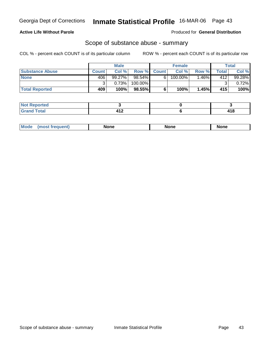### **Active Life Without Parole**

Produced for **General Distribution**

### Scope of substance abuse - summary

|                        |                  | <b>Male</b> |           |                    | <b>Female</b> |       |       | <b>Total</b> |
|------------------------|------------------|-------------|-----------|--------------------|---------------|-------|-------|--------------|
| <b>Substance Abuse</b> | <b>Count</b>     | Col %       |           | <b>Row % Count</b> | Col%          | Row % | Total | Col %        |
| <b>None</b>            | 406 <sup>'</sup> | 99.27%      | $98.54\%$ | 6'                 | $100.00\%$    | .46%  | 412   | $99.28\%$    |
|                        |                  | 0.73%       | 100.00%   |                    |               |       |       | 0.72%        |
| <b>Total Reported</b>  | 409              | 100%        | 98.55%    |                    | 100%          | 1.45% | 415   | 100%         |

| <b>rted</b><br>- 131              |                          |          |
|-----------------------------------|--------------------------|----------|
| A <sub>1</sub><br>ı ulal<br>_____ | <b>A 0</b><br><b>TIL</b> | 11C<br>. |

|  | Mode | lone | None | <b>None</b> |
|--|------|------|------|-------------|
|--|------|------|------|-------------|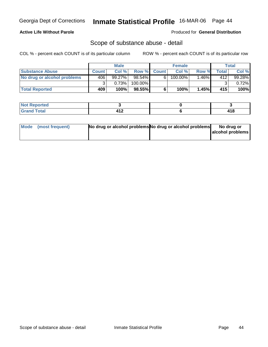### **Active Life Without Parole**

#### Produced for **General Distribution**

### Scope of substance abuse - detail

|                             |                  | <b>Male</b> |           |              | <b>Female</b> |         |       | <b>Total</b> |
|-----------------------------|------------------|-------------|-----------|--------------|---------------|---------|-------|--------------|
| <b>Substance Abuse</b>      | <b>Count</b>     | Col%        | Row %     | <b>Count</b> | Col%          | Row %   | Total | Col %        |
| No drug or alcohol problems | 406 <sup>'</sup> | 99.27%      | $98.54\%$ | 6'           | $100.00\%$    | $.46\%$ | 412'  | $99.28\%$    |
|                             | ◠                | 0.73%       | 100.00%   |              |               |         | ົ     | $0.72\%$     |
| <b>Total Reported</b>       | 409              | 100%        | 98.55%    |              | 100%          | 1.45%   | 415   | 100%         |

| <b>Not</b><br>Reported              |       |    |
|-------------------------------------|-------|----|
| <b>Total</b><br>Gran<br>$- \cdot -$ | <br>. | 10 |

| Mode (most frequent) | No drug or alcohol problems No drug or alcohol problems | No drug or       |
|----------------------|---------------------------------------------------------|------------------|
|                      |                                                         | alcohol problems |
|                      |                                                         |                  |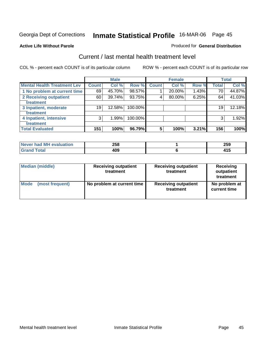#### **Active Life Without Parole**

### Produced for **General Distribution**

### Current / last mental health treatment level

|                                    |              | <b>Male</b> |            |              | <b>Female</b> |       |              | <b>Total</b> |
|------------------------------------|--------------|-------------|------------|--------------|---------------|-------|--------------|--------------|
| <b>Mental Health Treatment Lev</b> | <b>Count</b> | Col %       | Row %      | <b>Count</b> | Col %         | Row % | <b>Total</b> | Col %        |
| 1 No problem at current time       | 69           | 45.70%      | 98.57%     |              | 20.00%        | 1.43% | 70           | 44.87%       |
| 2 Receiving outpatient             | 60           | 39.74%      | 93.75%     | 4            | 80.00%        | 6.25% | 64           | 41.03%       |
| treatment                          |              |             |            |              |               |       |              |              |
| 3 Inpatient, moderate              | 19           | 12.58%      | 100.00%    |              |               |       | 19           | 12.18%       |
| treatment                          |              |             |            |              |               |       |              |              |
| 4 Inpatient, intensive             | 3            | 1.99%       | $100.00\%$ |              |               |       | 3            | 1.92%        |
| treatment                          |              |             |            |              |               |       |              |              |
| <b>Total Evaluated</b>             | 151          | 100%        | 96.79%     | 5            | 100%          | 3.21% | 156          | 100%         |

| Never had MH evaluation | 258 | 259 |
|-------------------------|-----|-----|
| $\tau$ otal<br>. Gre    | 409 |     |

| <b>Median (middle)</b> | <b>Receiving outpatient</b><br>treatment | <b>Receiving outpatient</b><br>treatment | <b>Receiving</b><br>outpatient<br>treatment |
|------------------------|------------------------------------------|------------------------------------------|---------------------------------------------|
| <b>Mode</b>            | No problem at current time               | <b>Receiving outpatient</b>              | No problem at                               |
| (most frequent)        |                                          | treatment                                | current time                                |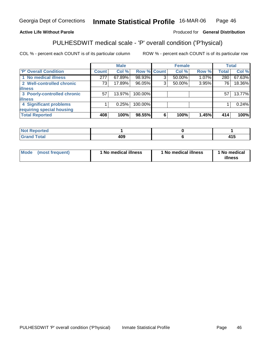### **Active Life Without Parole**

#### Produced for **General Distribution**

# PULHESDWIT medical scale - 'P' overall condition ('P'hysical)

|                             |              | <b>Male</b> |         |             | <b>Female</b> |       |              | <b>Total</b> |
|-----------------------------|--------------|-------------|---------|-------------|---------------|-------|--------------|--------------|
| 'P' Overall Condition       | <b>Count</b> | Col %       |         | Row % Count | Col %         | Row % | <b>Total</b> | Col %        |
| 1 No medical illness        | 277          | 67.89%      | 98.93%  | ◠           | 50.00%        | 1.07% | 280          | 67.63%       |
| 2 Well-controlled chronic   | 73           | 17.89%      | 96.05%  | ົ           | 50.00%        | 3.95% | 76           | 18.36%       |
| <b>illness</b>              |              |             |         |             |               |       |              |              |
| 3 Poorly-controlled chronic | 57           | $13.97\%$   | 100.00% |             |               |       | 57           | 13.77%       |
| <b>illness</b>              |              |             |         |             |               |       |              |              |
| 4 Significant problems      |              | 0.25%       | 100.00% |             |               |       |              | 0.24%        |
| requiring special housing   |              |             |         |             |               |       |              |              |
| <b>Total Reported</b>       | 408          | 100%        | 98.55%  | 6           | 100%          | 1.45% | 414          | 100%         |

| rtea<br>and a second to the co<br>$\sim$ |       |          |
|------------------------------------------|-------|----------|
| ---                                      | A O O | .<br>טוי |

| Mode | (most frequent) | 1 No medical illness | <sup>1</sup> No medical illness | 1 No medical<br>illness |
|------|-----------------|----------------------|---------------------------------|-------------------------|
|------|-----------------|----------------------|---------------------------------|-------------------------|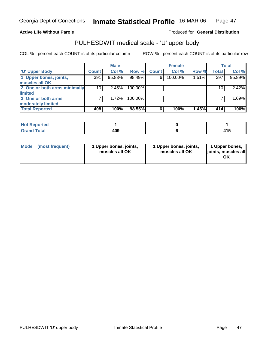#### **Active Life Without Parole**

#### Produced for **General Distribution**

### PULHESDWIT medical scale - 'U' upper body

|                              |              | <b>Male</b> |         |              | <b>Female</b> |       |              | <b>Total</b> |
|------------------------------|--------------|-------------|---------|--------------|---------------|-------|--------------|--------------|
| <b>U' Upper Body</b>         | <b>Count</b> | Col %       | Row %   | <b>Count</b> | Col %         | Row % | <b>Total</b> | Col %        |
| 1 Upper bones, joints,       | 391          | 95.83%      | 98.49%  | 6            | 100.00%       | 1.51% | 397          | 95.89%       |
| muscles all OK               |              |             |         |              |               |       |              |              |
| 2 One or both arms minimally | 10           | 2.45%       | 100.00% |              |               |       | 10           | 2.42%        |
| limited                      |              |             |         |              |               |       |              |              |
| 3 One or both arms           |              | 1.72%       | 100.00% |              |               |       |              | 1.69%        |
| moderately limited           |              |             |         |              |               |       |              |              |
| <b>Total Reported</b>        | 408          | 100%        | 98.55%  | 6            | 100%          | 1.45% | 414          | 100%         |

| <b>Not Reported</b>         |     |   |
|-----------------------------|-----|---|
| <b>Total</b><br><b>Gran</b> | 409 | . |

|  | Mode (most frequent) | 1 Upper bones, joints,<br>muscles all OK | 1 Upper bones, joints,<br>muscles all OK | 1 Upper bones,<br>joints, muscles all<br>ΟK |
|--|----------------------|------------------------------------------|------------------------------------------|---------------------------------------------|
|--|----------------------|------------------------------------------|------------------------------------------|---------------------------------------------|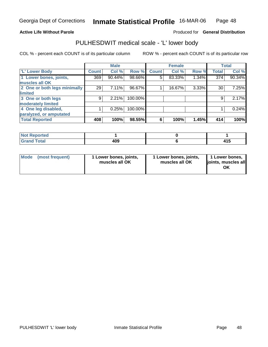#### **Active Life Without Parole**

#### Produced for **General Distribution**

### PULHESDWIT medical scale - 'L' lower body

|                              |                    | <b>Male</b> |         |              | <b>Female</b> |       |              | <b>Total</b> |
|------------------------------|--------------------|-------------|---------|--------------|---------------|-------|--------------|--------------|
| 'L' Lower Body               | Count <sup>1</sup> | Col %       | Row %   | <b>Count</b> | Col %         | Row % | <b>Total</b> | Col %        |
| 1 Lower bones, joints,       | 369                | 90.44%      | 98.66%  | 5            | 83.33%        | 1.34% | 374          | 90.34%       |
| muscles all OK               |                    |             |         |              |               |       |              |              |
| 2 One or both legs minimally | 29                 | 7.11%       | 96.67%  |              | 16.67%        | 3.33% | 30           | 7.25%        |
| limited                      |                    |             |         |              |               |       |              |              |
| 3 One or both legs           | 9                  | 2.21%       | 100.00% |              |               |       | 9            | 2.17%        |
| moderately limited           |                    |             |         |              |               |       |              |              |
| 4 One leg disabled,          |                    | 0.25%       | 100.00% |              |               |       |              | 0.24%        |
| paralyzed, or amputated      |                    |             |         |              |               |       |              |              |
| <b>Total Reported</b>        | 408                | 100%        | 98.55%  | 6            | 100%          | 1.45% | 414          | 100%         |

| rtea<br>∴∧epu<br>     |            |   |
|-----------------------|------------|---|
| $T0+0$<br>Grand Total | ה ה<br>rvə | . |

| l Mode | (most frequent) | 1 Lower bones, joints,<br>muscles all OK | 1 Lower bones, joints,<br>muscles all OK | 1 Lower bones,<br>joints, muscles all<br>ОK |
|--------|-----------------|------------------------------------------|------------------------------------------|---------------------------------------------|
|--------|-----------------|------------------------------------------|------------------------------------------|---------------------------------------------|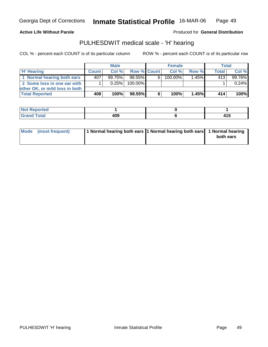#### **Active Life Without Parole**

Produced for **General Distribution**

### PULHESDWIT medical scale - 'H' hearing

|                                |              | <b>Male</b> |             |    | <b>Female</b> |       | <b>Total</b> |        |
|--------------------------------|--------------|-------------|-------------|----|---------------|-------|--------------|--------|
| 'H' Hearing                    | <b>Count</b> | Col%        | Row % Count |    | Col%          | Row % | <b>Total</b> | Col %  |
| 1 Normal hearing both ears     | 407          | $99.75\%$   | $98.55\%$   | 61 | $100.00\%$    | 1.45% | 413          | 99.76% |
| 2 Some loss in one ear with    |              | 0.25%       | 100.00%     |    |               |       |              | 0.24%  |
| other OK, or mild loss in both |              |             |             |    |               |       |              |        |
| <b>Total Reported</b>          | 408          | 100%        | 98.55%      | 6  | 100%          | 1.45% | 414          | 100%   |

| and an anti-<br>N<br>тео |      |        |
|--------------------------|------|--------|
| <b>Cotal</b>             | ה הו | .      |
|                          | $ -$ | $\sim$ |

| Mode (most frequent) | 1 Normal hearing both ears 1 Normal hearing both ears 1 Normal hearing | both ears |
|----------------------|------------------------------------------------------------------------|-----------|
|                      |                                                                        |           |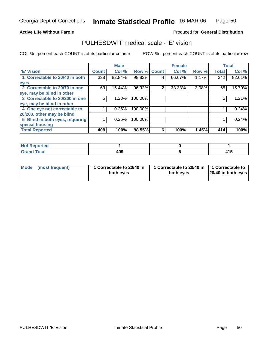#### **Active Life Without Parole**

#### Produced for **General Distribution**

### PULHESDWIT medical scale - 'E' vision

|                                 |              | <b>Male</b> |                    |   | <b>Female</b> |       |              | <b>Total</b> |
|---------------------------------|--------------|-------------|--------------------|---|---------------|-------|--------------|--------------|
| <b>E' Vision</b>                | <b>Count</b> | Col %       | <b>Row % Count</b> |   | Col %         | Row % | <b>Total</b> | Col %        |
| 1 Correctable to 20/40 in both  | 338          | 82.84%      | 98.83%             | 4 | 66.67%        | 1.17% | 342          | 82.61%       |
| eyes                            |              |             |                    |   |               |       |              |              |
| 2 Correctable to 20/70 in one   | 63           | 15.44%      | 96.92%             | 2 | 33.33%        | 3.08% | 65           | 15.70%       |
| eye, may be blind in other      |              |             |                    |   |               |       |              |              |
| 3 Correctable to 20/200 in one  | 5            | 1.23%       | 100.00%            |   |               |       | 5            | 1.21%        |
| eye, may be blind in other      |              |             |                    |   |               |       |              |              |
| 4 One eye not correctable to    |              | 0.25%       | 100.00%            |   |               |       |              | 0.24%        |
| 20/200, other may be blind      |              |             |                    |   |               |       |              |              |
| 5 Blind in both eyes, requiring |              | 0.25%       | 100.00%            |   |               |       |              | 0.24%        |
| special housing                 |              |             |                    |   |               |       |              |              |
| <b>Total Reported</b>           | 408          | 100%        | 98.55%             | 6 | 100%          | 1.45% | 414          | 100%         |

| <b>Not Reported</b>              |     |            |
|----------------------------------|-----|------------|
| T <sub>ofol</sub><br><b>Crop</b> | 409 | .<br>7 I V |

| Mode (most frequent) | 1 Correctable to 20/40 in<br>both eyes | 1 Correctable to 20/40 in   1 Correctable to<br>both eves | 20/40 in both eyes |
|----------------------|----------------------------------------|-----------------------------------------------------------|--------------------|
|----------------------|----------------------------------------|-----------------------------------------------------------|--------------------|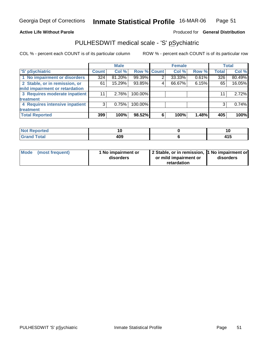#### **Active Life Without Parole**

#### Produced for **General Distribution**

### PULHESDWIT medical scale - 'S' pSychiatric

|                                |              | <b>Male</b> |             |   | <b>Female</b> |       |              | <b>Total</b> |
|--------------------------------|--------------|-------------|-------------|---|---------------|-------|--------------|--------------|
| 'S' pSychiatric                | <b>Count</b> | Col %       | Row % Count |   | Col %         | Row % | <b>Total</b> | Col %        |
| 1 No impairment or disorders   | 324          | $81.20\%$   | 99.39%      |   | 33.33%        | 0.61% | 326          | 80.49%       |
| 2 Stable, or in remission, or  | 61           | 15.29%      | 93.85%      | 4 | 66.67%        | 6.15% | 65           | 16.05%       |
| mild impairment or retardation |              |             |             |   |               |       |              |              |
| 3 Requires moderate inpatient  | 11           | 2.76%       | 100.00%     |   |               |       | 11           | 2.72%        |
| treatment                      |              |             |             |   |               |       |              |              |
| 4 Requires intensive inpatient | 3            | 0.75%       | 100.00%     |   |               |       | 3            | 0.74%        |
| treatment                      |              |             |             |   |               |       |              |              |
| <b>Total Reported</b>          | 399          | 100%        | 98.52%      | 6 | 100%          | 1.48% | 405          | 100%         |

| <b>Not Reported</b>         |     | יי     |
|-----------------------------|-----|--------|
| <b>Grand Total</b><br>Grand | 409 | 1. I A |

| Mode (most frequent) | 1 No impairment or<br>disorders | 2 Stable, or in remission, 1 No impairment or<br>or mild impairment or | disorders |  |
|----------------------|---------------------------------|------------------------------------------------------------------------|-----------|--|
|                      |                                 | retardation                                                            |           |  |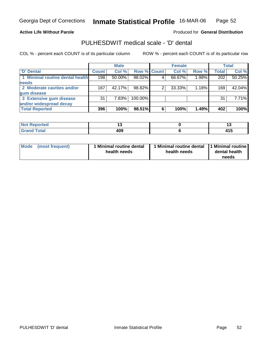#### **Active Life Without Parole**

### Produced for **General Distribution**

### PULHESDWIT medical scale - 'D' dental

|                                 |              | <b>Male</b> |             |   | <b>Female</b> |       |              | Total  |
|---------------------------------|--------------|-------------|-------------|---|---------------|-------|--------------|--------|
| <b>D'</b> Dental                | <b>Count</b> | Col %       | Row % Count |   | Col %         | Row % | <b>Total</b> | Col %  |
| 1 Minimal routine dental health | 198          | 50.00%      | 98.02%      |   | 66.67%        | 1.98% | 202          | 50.25% |
| <b>needs</b>                    |              |             |             |   |               |       |              |        |
| 2 Moderate cavities and/or      | 167          | 42.17%      | 98.82%      |   | 33.33%        | 1.18% | 169          | 42.04% |
| gum disease                     |              |             |             |   |               |       |              |        |
| 3 Extensive gum disease         | 31           | 7.83%       | 100.00%     |   |               |       | 31           | 7.71%  |
| and/or widespread decay         |              |             |             |   |               |       |              |        |
| <b>Total Reported</b>           | 396          | 100%        | 98.51%      | 6 | 100%          | 1.49% | 402          | 100%   |

| N                                                 | . .<br>$\overline{\phantom{a}}$ |                |
|---------------------------------------------------|---------------------------------|----------------|
| $f$ oto $f$<br>$\sim$ $\sim$ $\sim$ $\sim$ $\sim$ | A O.O<br>40J<br>$ -$            | - - -<br>7 I J |

| <b>Mode</b><br>(most frequent) | 1 Minimal routine dental<br>health needs | health needs | Minimal routine dental 1 Minimal routine<br>dental health<br>needs |
|--------------------------------|------------------------------------------|--------------|--------------------------------------------------------------------|
|--------------------------------|------------------------------------------|--------------|--------------------------------------------------------------------|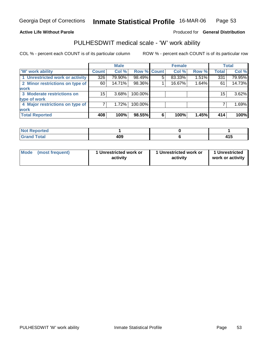#### **Active Life Without Parole**

#### Produced for **General Distribution**

### PULHESDWIT medical scale - 'W' work ability

|                                 |              | <b>Male</b> |             |   | <b>Female</b> |          |              | Total  |
|---------------------------------|--------------|-------------|-------------|---|---------------|----------|--------------|--------|
| <b>W'</b> work ability          | <b>Count</b> | Col %       | Row % Count |   | Col %         | Row %    | <b>Total</b> | Col %  |
| 1 Unrestricted work or activity | 326          | 79.90%      | 98.49%      | 5 | 83.33%        | $1.51\%$ | 331          | 79.95% |
| 2 Minor restrictions on type of | 60           | 14.71%      | 98.36%      |   | 16.67%        | 1.64%    | 61           | 14.73% |
| <b>work</b>                     |              |             |             |   |               |          |              |        |
| 3 Moderate restrictions on      | 15           | 3.68%       | 100.00%     |   |               |          | 15           | 3.62%  |
| type of work                    |              |             |             |   |               |          |              |        |
| 4 Major restrictions on type of |              | 1.72%       | 100.00%     |   |               |          |              | 1.69%  |
| <b>work</b>                     |              |             |             |   |               |          |              |        |
| <b>Total Reported</b>           | 408          | 100%        | 98.55%      | 6 | 100%          | 1.45%    | 414          | 100%   |

| <b>Not Reported</b> |     |              |
|---------------------|-----|--------------|
| <b>Grand Total</b>  | 409 | 44 E<br>טו ד |

| Mode | (most frequent) | 1 Unrestricted work or<br>activity | 1 Unrestricted work or<br>activity | 1 Unrestricted<br>work or activity |
|------|-----------------|------------------------------------|------------------------------------|------------------------------------|
|      |                 |                                    |                                    |                                    |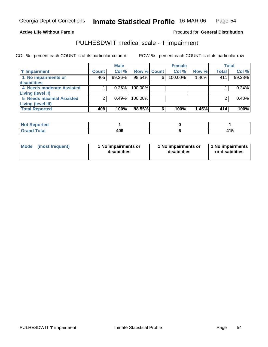#### **Active Life Without Parole**

### Produced for **General Distribution**

### PULHESDWIT medical scale - 'I' impairment

|                                 |              | <b>Male</b> |             |   | <b>Female</b> |       |              | <b>Total</b> |
|---------------------------------|--------------|-------------|-------------|---|---------------|-------|--------------|--------------|
| I' Impairment                   | <b>Count</b> | Col %       | Row % Count |   | Col %         | Row % | <b>Total</b> | Col %        |
| 1 No impairments or             | 405          | $99.26\%$   | $98.54\%$   | 6 | 100.00%       | 1.46% | 411          | 99.28%       |
| disabilities                    |              |             |             |   |               |       |              |              |
| 4 Needs moderate Assisted       |              | 0.25%       | $100.00\%$  |   |               |       |              | 0.24%        |
| <b>Living (level II)</b>        |              |             |             |   |               |       |              |              |
| <b>5 Needs maximal Assisted</b> |              | 0.49%       | 100.00%     |   |               |       |              | 0.48%        |
| Living (level III)              |              |             |             |   |               |       |              |              |
| <b>Total Reported</b>           | 408          | 100%        | 98.55%      | 6 | 100%          | 1.45% | 414          | 100%l        |

| 'eported<br>. IN OT     |             |       |
|-------------------------|-------------|-------|
| <b>Total</b><br>_______ | 409<br>$ -$ | 7 I J |

| <b>Mode</b>     | 1 No impairments or | 1 No impairments or | 1 1 No impairments |
|-----------------|---------------------|---------------------|--------------------|
| (most frequent) | disabilities        | disabilities        | or disabilities    |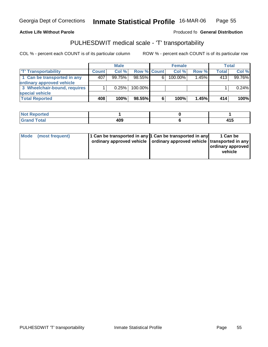Georgia Dept of Corrections

**Inmate Statistical Profile** 16-MAR-06 Page Page 55

**Active Life Without Parole Produced fo Seneral Distribution** 

### PULHESDWIT medical scale - 'T' transportability

|                              |              | <b>Male</b> |                    |   | <b>Female</b> |          |       | Total  |
|------------------------------|--------------|-------------|--------------------|---|---------------|----------|-------|--------|
| <b>T' Transportability</b>   | <b>Count</b> | Col %       | <b>Row % Count</b> |   | Col %         | Row %    | Total | Col %  |
| 1 Can be transported in any  | 407          | 99.75%      | $98.55\%$          | 6 | 100.00%       | $1.45\%$ | 413   | 99.76% |
| ordinary approved vehicle    |              |             |                    |   |               |          |       |        |
| 3 Wheelchair-bound, requires |              | 0.25%       | $100.00\%$         |   |               |          |       | 0.24%  |
| special vehicle              |              |             |                    |   |               |          |       |        |
| <b>Total Reported</b>        | 408          | 100%        | 98.55%             | 6 | 100%          | 1.45%    | 414   | 100%   |

| N <sub>of</sub><br><b>Reported</b> |     |                 |
|------------------------------------|-----|-----------------|
| <b>Total</b><br>Grand              | 409 | I 4 E<br>1. I V |

| Mode | (most frequent) | 1 Can be transported in any 1 Can be transported in any<br>ordinary approved vehicle   ordinary approved vehicle   transported in any | 1 Can be<br>ordinary approved<br>vehicle |
|------|-----------------|---------------------------------------------------------------------------------------------------------------------------------------|------------------------------------------|
|      |                 |                                                                                                                                       |                                          |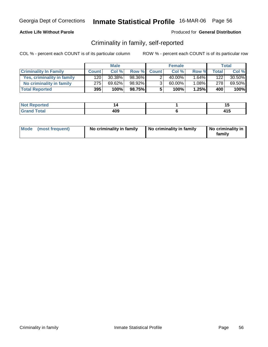### **Active Life Without Parole**

#### Produced for **General Distribution**

### Criminality in family, self-reported

|                              |              | <b>Male</b> |        |                | <b>Female</b> |       |              | Total  |
|------------------------------|--------------|-------------|--------|----------------|---------------|-------|--------------|--------|
| <b>Criminality In Family</b> | <b>Count</b> | Col %       |        | Row % Count    | Col %         | Row % | <b>Total</b> | Col %  |
| Yes, criminality in family   | 120          | 30.38%      | 98.36% |                | 40.00%        | 1.64% | 122          | 30.50% |
| No criminality in family     | 275          | 69.62%      | 98.92% | 3 <sub>1</sub> | 60.00%        | 1.08% | 278          | 69.50% |
| <b>Total Reported</b>        | 395          | 100%        | 98.75% | 5              | 100%          | 1.25% | 400          | 100%   |

| rtea                        |     |   |
|-----------------------------|-----|---|
| امەت<br><b>TULAI</b><br>--- | 409 | . |

| Mode (most frequent) | No criminality in family | No criminality in family | No criminality in<br>family |
|----------------------|--------------------------|--------------------------|-----------------------------|
|----------------------|--------------------------|--------------------------|-----------------------------|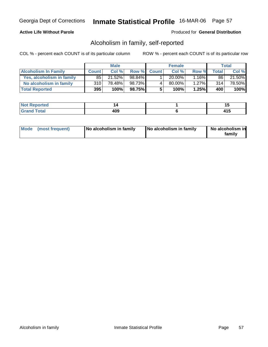### **Active Life Without Parole**

#### Produced for **General Distribution**

### Alcoholism in family, self-reported

|                             |              | <b>Male</b> |           |             | <b>Female</b> |       |              | Total  |
|-----------------------------|--------------|-------------|-----------|-------------|---------------|-------|--------------|--------|
| <b>Alcoholism In Family</b> | <b>Count</b> | Col %       |           | Row % Count | Col %         | Row % | <b>Total</b> | Col %  |
| Yes, alcoholism in family   | 85           | 21.52%      | $98.84\%$ |             | 20.00%        | 1.16% | 86 I         | 21.50% |
| No alcoholism in family     | 310          | 78.48%      | 98.73%    |             | 80.00%        | 1.27% | 314          | 78.50% |
| <b>Total Reported</b>       | 395          | 100%        | 98.75%    | 5           | 100%          | 1.25% | 400          | 100%   |

| المناسبة المسا<br>' NOT<br>ortea |     | '' |
|----------------------------------|-----|----|
| Total<br>$-$                     | 409 | .  |

| Mode (most frequent)<br>No alcoholism in family | <b>No alcoholism in family</b> | No alcoholism in<br>familv |
|-------------------------------------------------|--------------------------------|----------------------------|
|-------------------------------------------------|--------------------------------|----------------------------|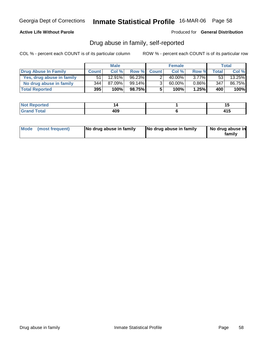### **Active Life Without Parole**

Produced for **General Distribution**

### Drug abuse in family, self-reported

|                           |                  | <b>Male</b> |           |                | <b>Female</b> |          |              | Total  |
|---------------------------|------------------|-------------|-----------|----------------|---------------|----------|--------------|--------|
| Drug Abuse In Family      | <b>Count</b>     | Col %       |           | Row % Count    | Col %         | Row %    | <b>Total</b> | Col %  |
| Yes, drug abuse in family | 51               | $12.91\%$   | $96.23\%$ |                | 40.00%        | $3.77\%$ | 531          | 13.25% |
| No drug abuse in family   | 344 <sub>1</sub> | 87.09%      | 99.14%    | 3 <sub>1</sub> | 60.00%        | $0.86\%$ | 347          | 86.75% |
| <b>Total Reported</b>     | 395              | 100%        | 98.75%I   | 5              | 100%          | 1.25%    | 400          | 100%   |

| المناسبة المسا<br>' NOT<br>ortea |     | '' |
|----------------------------------|-----|----|
| Total<br>$-$                     | 409 | .  |

| Mode (most frequent) |  | No drug abuse in family | No drug abuse in family | No drug abuse in<br>familv |
|----------------------|--|-------------------------|-------------------------|----------------------------|
|----------------------|--|-------------------------|-------------------------|----------------------------|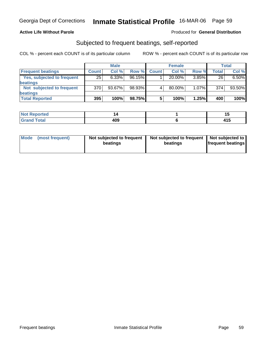### **Active Life Without Parole**

#### Produced for **General Distribution**

### Subjected to frequent beatings, self-reported

|                            |              | <b>Male</b> |           |              | <b>Female</b> |          |       | <b>Total</b> |
|----------------------------|--------------|-------------|-----------|--------------|---------------|----------|-------|--------------|
| <b>Frequent beatings</b>   | <b>Count</b> | Col%        | Row %     | <b>Count</b> | Col%          | Row %    | Total | Col %        |
| Yes, subjected to frequent | 25           | 6.33%       | $96.15\%$ |              | 20.00%        | $3.85\%$ | 26    | 6.50%        |
| beatings                   |              |             |           |              |               |          |       |              |
| Not subjected to frequent  | 370          | 93.67%      | 98.93%    | 4            | 80.00%        | $1.07\%$ | 374   | 93.50%       |
| beatings                   |              |             |           |              |               |          |       |              |
| <b>Total Reported</b>      | 395          | 100%        | 98.75%    | 5            | 100%          | 1.25%    | 400   | 100%         |

| <b>Not Reported</b><br>$\sim$ . The set of $\sim$ |     |     |
|---------------------------------------------------|-----|-----|
| <b>Total</b><br>Crot<br>$\mathbf{v}$ and          | 409 | ט ד |

| Mode | (most frequent) | Not subjected to frequent<br>beatings | Not subjected to frequent   Not subjected to  <br>beatings | <b>frequent beatings</b> |
|------|-----------------|---------------------------------------|------------------------------------------------------------|--------------------------|
|------|-----------------|---------------------------------------|------------------------------------------------------------|--------------------------|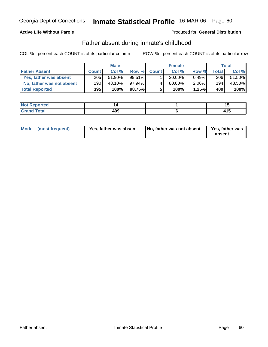### **Active Life Without Parole**

#### Produced for **General Distribution**

### Father absent during inmate's childhood

|                           |              | <b>Male</b> |           |             | <b>Female</b> |          |              | Total  |
|---------------------------|--------------|-------------|-----------|-------------|---------------|----------|--------------|--------|
| <b>Father Absent</b>      | <b>Count</b> | Col %       |           | Row % Count | Col %         | Row %    | <b>Total</b> | Col %  |
| Yes, father was absent    | 205          | 51.90%      | $99.51\%$ |             | 20.00%        | 0.49%    | 206          | 51.50% |
| No, father was not absent | 190          | 48.10%      | 97.94%    |             | 80.00%        | $2.06\%$ | 194          | 48.50% |
| <b>Total Reported</b>     | 395          | 100%        | 98.75%I   | 5           | 100%          | 1.25%    | 400          | 100%   |

| المناسبة المسا<br>' NOT<br>ortea |     | '' |
|----------------------------------|-----|----|
| Total<br>$-$                     | 409 | .  |

| Yes, father was absent<br>Mode (most frequent) | No, father was not absent | Yes, father was<br>absent |
|------------------------------------------------|---------------------------|---------------------------|
|------------------------------------------------|---------------------------|---------------------------|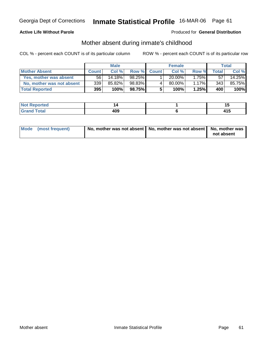### **Active Life Without Parole**

#### Produced for **General Distribution**

### Mother absent during inmate's childhood

|                           |              | <b>Male</b> |         |             | <b>Female</b> |       |              | Total  |
|---------------------------|--------------|-------------|---------|-------------|---------------|-------|--------------|--------|
| <b>Mother Absent</b>      | <b>Count</b> | Col %       |         | Row % Count | Col %         | Row % | <b>Total</b> | Col %  |
| Yes, mother was absent    | 56           | 14.18%      | 98.25%  |             | 20.00%        | 1.75% | 57           | 14.25% |
| No, mother was not absent | 339          | 85.82%      | 98.83%  |             | $80.00\%$ .   | 1.17% | 343          | 85.75% |
| <b>Total Reported</b>     | 395          | 100%        | 98.75%I | 5           | 100%          | 1.25% | 400          | 100%   |

| rtea                        |     |   |
|-----------------------------|-----|---|
| امەت<br><b>TULAI</b><br>--- | 409 | . |

| Mode (most frequent) | No, mother was not absent   No, mother was not absent   No, mother was |            |
|----------------------|------------------------------------------------------------------------|------------|
|                      |                                                                        | not absent |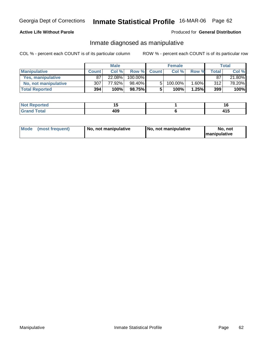### **Active Life Without Parole**

#### Produced for **General Distribution**

### Inmate diagnosed as manipulative

|                       | <b>Male</b>  |        | <b>Female</b> |              |         | Total           |              |        |
|-----------------------|--------------|--------|---------------|--------------|---------|-----------------|--------------|--------|
| <b>Manipulative</b>   | <b>Count</b> | Col %  | Row %         | <b>Count</b> | Col %   | Row %           | <b>Total</b> | Col %  |
| Yes, manipulative     | 87           | 22.08% | 100.00%       |              |         |                 | 87           | 21.80% |
| No, not manipulative  | 307          | 77.92% | 98.40%        | 5            | 100.00% | $^{\circ}$ .60% | 312          | 78.20% |
| <b>Total Reported</b> | 394          | 100%   | 98.75%        | 5            | 100%    | 1.25%           | 399          | 100%   |

| ----<br>∵NΩ1∶<br>ortea |     | ιų             |
|------------------------|-----|----------------|
| Total<br>$\sim$        | 409 | I 4 E<br>7 I J |

| Mode<br>(most frequent)<br>  No. not manipulative | No, not manipulative | No, not<br><b>Imanipulative</b> |
|---------------------------------------------------|----------------------|---------------------------------|
|---------------------------------------------------|----------------------|---------------------------------|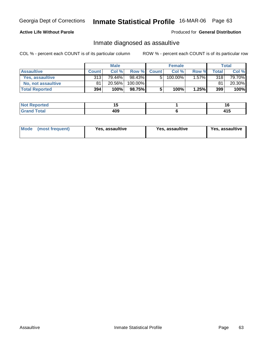### **Active Life Without Parole**

#### Produced for **General Distribution**

### Inmate diagnosed as assaultive

|                       | <b>Male</b>  |        | <b>Female</b> |              |         | Total |       |        |
|-----------------------|--------------|--------|---------------|--------------|---------|-------|-------|--------|
| <b>Assaultive</b>     | <b>Count</b> | Col %  | <b>Row %</b>  | <b>Count</b> | Col %   | Row % | Total | Col %  |
| Yes. assaultive       | 313          | 79.44% | 98.43%        | -51          | 100.00% | 1.57% | 318   | 79.70% |
| No, not assaultive    | 81           | 20.56% | 100.00%       |              |         |       | 81    | 20.30% |
| <b>Total Reported</b> | 394          | 100%   | 98.75%I       | 5            | 100%    | 1.25% | 399   | 100%   |

| Reported<br><b>NOT</b> |     | יי         |
|------------------------|-----|------------|
| <b>Total</b>           | 409 | .<br>. I v |

| <b>Mode</b><br><b>Yes, assaultive</b><br>(most frequent) | Yes, assaultive | Yes, assaultive |
|----------------------------------------------------------|-----------------|-----------------|
|----------------------------------------------------------|-----------------|-----------------|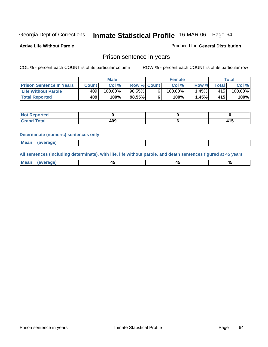**Active Life Without Parole** 

Produced for **General Distribution**

### Prison sentence in years

COL % - percent each COUNT is of its particular column ROW % - percent each COUNT is of its particular row

|                                 | <b>Male</b>  |         |                    | <b>Female</b> |            |       | <b>Total</b> |                       |
|---------------------------------|--------------|---------|--------------------|---------------|------------|-------|--------------|-----------------------|
| <b>Prison Sentence In Years</b> | <b>Count</b> | Col %   | <b>Row % Count</b> |               | Col %      | Row % | Total        | Col %                 |
| Life Without Parole             | 409          | 100.00% | 98.55%             |               | $100.00\%$ | .45%  | 415'         | $100.\overline{00\%}$ |
| <b>Total Reported</b>           | 409          | 100%    | 98.55%             |               | 100%       | 1.45% | 415          | 100%                  |

| orted<br><b>NI</b>               |     |  |
|----------------------------------|-----|--|
| <b>Total</b><br>$\mathbf{v}$ and | 409 |  |

#### **Determinate (numeric) sentences only**

| <b>Mean</b> | (average) |  |  |
|-------------|-----------|--|--|
|             |           |  |  |

**All sentences (including determinate), with life, life without parole, and death sentences figured at 45 years**

| ' Mea<br>апо      | ᠇ᡂ     |        | т.     |
|-------------------|--------|--------|--------|
| --- <i>--</i> --- | $\sim$ | $\sim$ | $\sim$ |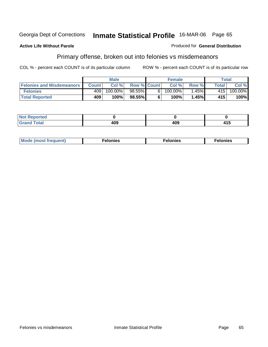#### **Active Life Without Parole**

# Primary offense, broken out into felonies vs misdemeanors

COL % - percent each COUNT is of its particular column ROW % - percent each COUNT is of its particular row

Produced for **General Distribution**

|                                  | <b>Male</b> |         | <b>Female</b>      |                |            | Total |       |         |
|----------------------------------|-------------|---------|--------------------|----------------|------------|-------|-------|---------|
| <b>Felonies and Misdemeanors</b> | Count       | Col%    | <b>Row % Count</b> |                | Col%       | Row % | Total | Col %   |
| <b>Felonies</b>                  | 409         | 100.00% | $98.55\%$          | 6 <sub>1</sub> | $100.00\%$ | .45%  | 415   | 100.00% |
| <b>Total Reported</b>            | 409         | 100%    | 98.55%             |                | 100%       | 1.45% | 415   | 100%    |

| rted.<br><b>Not</b><br>$\sim$     |     |            |          |
|-----------------------------------|-----|------------|----------|
| <b>otal</b><br>Gran<br><b>UIU</b> | "^^ | 008<br>łUЈ | .<br>ા ⊽ |

| Mo<br>requent)<br>mies<br>onies<br>.<br>.<br>. |
|------------------------------------------------|
|------------------------------------------------|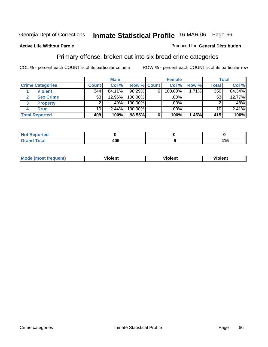### **Active Life Without Parole**

#### Produced for **General Distribution**

### Primary offense, broken out into six broad crime categories

|   |                         |                 | <b>Male</b> |             |   | <b>Female</b> |       |                 | <b>Total</b> |
|---|-------------------------|-----------------|-------------|-------------|---|---------------|-------|-----------------|--------------|
|   | <b>Crime Categories</b> | <b>Count</b>    | Col %       | Row % Count |   | Col %         | Row % | <b>Total</b>    | Col %        |
|   | <b>Violent</b>          | 344             | 84.11%      | 98.29%      | 6 | 100.00%       | 1.71% | 350             | 84.34%       |
| 2 | <b>Sex Crime</b>        | 53              | 12.96%      | 100.00%     |   | $.00\%$ $ $   |       | 53              | 12.77%       |
| 3 | <b>Property</b>         | 2               | .49%        | 100.00%     |   | .00%          |       | 2               | .48%         |
| 4 | <b>Drug</b>             | 10 <sub>1</sub> | 2.44%       | 100.00%     |   | .00%          |       | 10 <sub>1</sub> | 2.41%        |
|   | <b>Total Reported</b>   | 409             | 100%        | 98.55%      | 6 | 100%          | 1.45% | 415             | 100%         |

| ____ | ៱៱៱<br>IV.<br>$ -$ | .<br>7 I J |
|------|--------------------|------------|

| M <sub>c</sub><br>--------<br>AUAZ | .<br>Violent | วlent | --<br>lent<br>____ |
|------------------------------------|--------------|-------|--------------------|
|                                    |              |       |                    |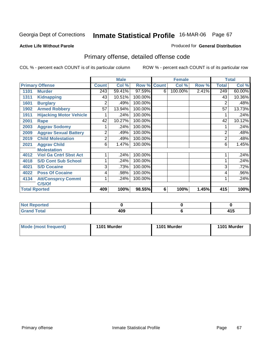#### **Active Life Without Parole**

#### Produced for **General Distribution**

# Primary offense, detailed offense code

|      |                                |              | <b>Male</b> |         |              | <b>Female</b> |       |                | <b>Total</b> |
|------|--------------------------------|--------------|-------------|---------|--------------|---------------|-------|----------------|--------------|
|      | <b>Primary Offense</b>         | <b>Count</b> | Col %       | Row %   | <b>Count</b> | Col %         | Row % | <b>Total</b>   | Col %        |
| 1101 | <b>Murder</b>                  | 243          | 59.41%      | 97.59%  | 6            | 100.00%       | 2.41% | 249            | 60.00%       |
| 1311 | <b>Kidnapping</b>              | 43           | 10.51%      | 100.00% |              |               |       | 43             | 10.36%       |
| 1601 | <b>Burglary</b>                | 2            | .49%        | 100.00% |              |               |       | 2              | .48%         |
| 1902 | <b>Armed Robbery</b>           | 57           | 13.94%      | 100.00% |              |               |       | 57             | 13.73%       |
| 1911 | <b>Hijacking Motor Vehicle</b> |              | .24%        | 100.00% |              |               |       |                | .24%         |
| 2001 | <b>Rape</b>                    | 42           | 10.27%      | 100.00% |              |               |       | 42             | 10.12%       |
| 2003 | <b>Aggrav Sodomy</b>           |              | .24%        | 100.00% |              |               |       |                | .24%         |
| 2009 | <b>Aggrav Sexual Battery</b>   | 2            | .49%        | 100.00% |              |               |       | $\overline{2}$ | .48%         |
| 2019 | <b>Child Molestation</b>       | 2            | .49%        | 100.00% |              |               |       | $\overline{2}$ | .48%         |
| 2021 | <b>Aggrav Child</b>            | 6            | 1.47%       | 100.00% |              |               |       | 6              | 1.45%        |
|      | <b>Molestation</b>             |              |             |         |              |               |       |                |              |
| 4012 | <b>Viol Ga Cntrl Sbst Act</b>  |              | .24%        | 100.00% |              |               |       |                | .24%         |
| 4018 | <b>S/D Cont Sub School</b>     |              | .24%        | 100.00% |              |               |       | 1              | .24%         |
| 4021 | <b>S/D Cocaine</b>             | 3            | .73%        | 100.00% |              |               |       | 3              | .72%         |
| 4022 | <b>Poss Of Cocaine</b>         | 4            | .98%        | 100.00% |              |               |       | 4              | .96%         |
| 4134 | <b>Att/Consprcy Commt</b>      |              | .24%        | 100.00% |              |               |       |                | .24%         |
|      | C/S/Of                         |              |             |         |              |               |       |                |              |
|      | <b>Total Rported</b>           | 409          | 100%        | 98.55%  | 6            | 100%          | 1.45% | 415            | 100%         |

| Reported                 |            |       |
|--------------------------|------------|-------|
| <b>otal</b><br>$- \cdot$ | ,,,<br>40S | 4 A C |

| <b>Mode (most frequent)</b> | 1101 Murder | 1101 Murder | 1101 Murder |
|-----------------------------|-------------|-------------|-------------|
|-----------------------------|-------------|-------------|-------------|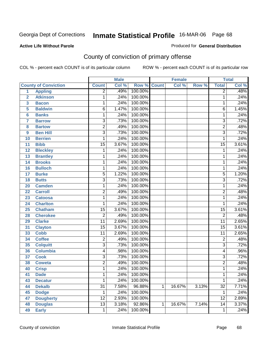Produced for **General Distribution**

#### **Active Life Without Parole**

# County of conviction of primary offense

|                         |                             |                 | <b>Male</b> |         |              | <b>Female</b> |       |                 | <b>Total</b>               |
|-------------------------|-----------------------------|-----------------|-------------|---------|--------------|---------------|-------|-----------------|----------------------------|
|                         | <b>County of Conviction</b> | <b>Count</b>    | Col %       | Row %   | <b>Count</b> | Col %         | Row % | <b>Total</b>    | $\overline{\text{Col }\%}$ |
| 1                       | <b>Appling</b>              | $\overline{2}$  | .49%        | 100.00% |              |               |       | $\overline{2}$  | .48%                       |
| $\overline{2}$          | <b>Atkinson</b>             | 1               | .24%        | 100.00% |              |               |       | $\mathbf 1$     | .24%                       |
| $\overline{\mathbf{3}}$ | <b>Bacon</b>                | 1               | .24%        | 100.00% |              |               |       | 1               | .24%                       |
| 5                       | <b>Baldwin</b>              | 6               | 1.47%       | 100.00% |              |               |       | $\overline{6}$  | 1.45%                      |
| $6\phantom{a}$          | <b>Banks</b>                | 1               | .24%        | 100.00% |              |               |       | $\mathbf{1}$    | .24%                       |
| $\overline{7}$          | <b>Barrow</b>               | $\overline{3}$  | .73%        | 100.00% |              |               |       | $\overline{3}$  | .72%                       |
| 8                       | <b>Bartow</b>               | $\overline{2}$  | .49%        | 100.00% |              |               |       | $\overline{2}$  | .48%                       |
| 9                       | <b>Ben Hill</b>             | $\overline{3}$  | .73%        | 100.00% |              |               |       | $\overline{3}$  | .72%                       |
| 10                      | <b>Berrien</b>              | 1               | .24%        | 100.00% |              |               |       | $\mathbf{1}$    | .24%                       |
| 11                      | <b>Bibb</b>                 | $\overline{15}$ | 3.67%       | 100.00% |              |               |       | $\overline{15}$ | 3.61%                      |
| 12                      | <b>Bleckley</b>             | 1               | .24%        | 100.00% |              |               |       | $\mathbf 1$     | .24%                       |
| 13                      | <b>Brantley</b>             | 1               | .24%        | 100.00% |              |               |       | $\mathbf{1}$    | .24%                       |
| 14                      | <b>Brooks</b>               | 1               | .24%        | 100.00% |              |               |       | $\mathbf{1}$    | .24%                       |
| 16                      | <b>Bulloch</b>              | 1               | .24%        | 100.00% |              |               |       | $\mathbf{1}$    | .24%                       |
| 17                      | <b>Burke</b>                | 5               | 1.22%       | 100.00% |              |               |       | $\overline{5}$  | 1.20%                      |
| 18                      | <b>Butts</b>                | $\overline{3}$  | .73%        | 100.00% |              |               |       | $\overline{3}$  | .72%                       |
| 20                      | <b>Camden</b>               | 1               | .24%        | 100.00% |              |               |       | $\mathbf{1}$    | .24%                       |
| 22                      | <b>Carroll</b>              | $\overline{2}$  | .49%        | 100.00% |              |               |       | $\overline{c}$  | .48%                       |
| 23                      | <b>Catoosa</b>              | 1               | .24%        | 100.00% |              |               |       | $\mathbf{1}$    | .24%                       |
| 24                      | <b>Charlton</b>             | 1               | .24%        | 100.00% |              |               |       | $\mathbf{1}$    | .24%                       |
| 25                      | <b>Chatham</b>              | $\overline{15}$ | 3.67%       | 100.00% |              |               |       | $\overline{15}$ | 3.61%                      |
| 28                      | <b>Cherokee</b>             | $\overline{2}$  | .49%        | 100.00% |              |               |       | $\overline{2}$  | .48%                       |
| 29                      | <b>Clarke</b>               | $\overline{11}$ | 2.69%       | 100.00% |              |               |       | $\overline{11}$ | 2.65%                      |
| 31                      | <b>Clayton</b>              | $\overline{15}$ | 3.67%       | 100.00% |              |               |       | $\overline{15}$ | 3.61%                      |
| 33                      | <b>Cobb</b>                 | 11              | 2.69%       | 100.00% |              |               |       | 11              | 2.65%                      |
| 34                      | <b>Coffee</b>               | $\overline{c}$  | .49%        | 100.00% |              |               |       | $\overline{c}$  | .48%                       |
| 35                      | <b>Colquitt</b>             | $\overline{3}$  | .73%        | 100.00% |              |               |       | $\overline{3}$  | .72%                       |
| 36                      | <b>Columbia</b>             | 4               | .98%        | 100.00% |              |               |       | $\overline{4}$  | .96%                       |
| 37                      | <b>Cook</b>                 | 3               | .73%        | 100.00% |              |               |       | $\overline{3}$  | .72%                       |
| 38                      | <b>Coweta</b>               | $\overline{2}$  | .49%        | 100.00% |              |               |       | $\overline{2}$  | .48%                       |
| 40                      | <b>Crisp</b>                | 1               | .24%        | 100.00% |              |               |       | 1               | .24%                       |
| 41                      | <b>Dade</b>                 | 1               | .24%        | 100.00% |              |               |       | 1               | .24%                       |
| 43                      | <b>Decatur</b>              | 1               | .24%        | 100.00% |              |               |       | $\mathbf{1}$    | .24%                       |
| 44                      | <b>Dekalb</b>               | $\overline{31}$ | 7.58%       | 96.88%  | $\mathbf{1}$ | 16.67%        | 3.13% | $\overline{32}$ | 7.71%                      |
| 45                      | <b>Dodge</b>                | 1               | .24%        | 100.00% |              |               |       | 1               | .24%                       |
| 47                      | <b>Dougherty</b>            | $\overline{12}$ | 2.93%       | 100.00% |              |               |       | $\overline{12}$ | 2.89%                      |
| 48                      | <b>Douglas</b>              | $\overline{13}$ | 3.18%       | 92.86%  | 1            | 16.67%        | 7.14% | $\overline{14}$ | 3.37%                      |
| 49                      | <b>Early</b>                | 1               | .24%        | 100.00% |              |               |       | 1               | .24%                       |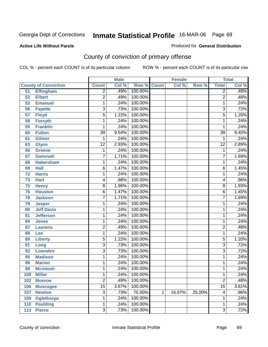Produced for **General Distribution**

### **Active Life Without Parole**

# County of conviction of primary offense

|     |                             |                 | <b>Male</b> |         |              | <b>Female</b> |        |                         | <b>Total</b> |
|-----|-----------------------------|-----------------|-------------|---------|--------------|---------------|--------|-------------------------|--------------|
|     | <b>County of Conviction</b> | <b>Count</b>    | Col %       | Row %   | <b>Count</b> | Col %         | Row %  | <b>Total</b>            | Col %        |
| 51  | <b>Effingham</b>            | $\overline{2}$  | .49%        | 100.00% |              |               |        | $\overline{2}$          | .48%         |
| 52  | <b>Elbert</b>               | $\overline{2}$  | .49%        | 100.00% |              |               |        | $\overline{2}$          | .48%         |
| 53  | <b>Emanuel</b>              | 1               | .24%        | 100.00% |              |               |        | 1                       | .24%         |
| 56  | <b>Fayette</b>              | $\overline{3}$  | .73%        | 100.00% |              |               |        | $\overline{3}$          | .72%         |
| 57  | <b>Floyd</b>                | $\overline{5}$  | 1.22%       | 100.00% |              |               |        | $\overline{5}$          | 1.20%        |
| 58  | <b>Forsyth</b>              | 1               | .24%        | 100.00% |              |               |        | 1                       | .24%         |
| 59  | <b>Franklin</b>             | 1               | .24%        | 100.00% |              |               |        | 1                       | .24%         |
| 60  | <b>Fulton</b>               | $\overline{39}$ | 9.54%       | 100.00% |              |               |        | $\overline{39}$         | 9.40%        |
| 61  | <b>Gilmer</b>               | 1               | .24%        | 100.00% |              |               |        | 1                       | .24%         |
| 63  | <b>Glynn</b>                | $\overline{12}$ | 2.93%       | 100.00% |              |               |        | $\overline{12}$         | 2.89%        |
| 66  | <b>Greene</b>               | 1               | .24%        | 100.00% |              |               |        | 1                       | .24%         |
| 67  | <b>Gwinnett</b>             | $\overline{7}$  | 1.71%       | 100.00% |              |               |        | $\overline{7}$          | 1.69%        |
| 68  | <b>Habersham</b>            | 1               | .24%        | 100.00% |              |               |        | 1                       | .24%         |
| 69  | <b>Hall</b>                 | $\overline{6}$  | 1.47%       | 100.00% |              |               |        | $\overline{6}$          | 1.45%        |
| 72  | <b>Harris</b>               | 1               | .24%        | 100.00% |              |               |        | 1                       | .24%         |
| 73  | <b>Hart</b>                 | 4               | .98%        | 100.00% |              |               |        | $\overline{\mathbf{4}}$ | .96%         |
| 75  | <b>Henry</b>                | 8               | 1.96%       | 100.00% |              |               |        | 8                       | 1.93%        |
| 76  | <b>Houston</b>              | 6               | 1.47%       | 100.00% |              |               |        | 6                       | 1.45%        |
| 78  | <b>Jackson</b>              | 7               | 1.71%       | 100.00% |              |               |        | $\overline{7}$          | 1.69%        |
| 79  | <b>Jasper</b>               | 1               | .24%        | 100.00% |              |               |        | 1                       | .24%         |
| 80  | <b>Jeff Davis</b>           | 1               | .24%        | 100.00% |              |               |        | 1                       | .24%         |
| 81  | <b>Jefferson</b>            | 1               | .24%        | 100.00% |              |               |        | 1                       | .24%         |
| 84  | <b>Jones</b>                | 1               | .24%        | 100.00% |              |               |        | 1                       | .24%         |
| 87  | <b>Laurens</b>              | $\overline{2}$  | .49%        | 100.00% |              |               |        | $\overline{2}$          | .48%         |
| 88  | <b>Lee</b>                  | 1               | .24%        | 100.00% |              |               |        | 1                       | .24%         |
| 89  | <b>Liberty</b>              | $\overline{5}$  | 1.22%       | 100.00% |              |               |        | $\overline{5}$          | 1.20%        |
| 91  | Long                        | $\overline{3}$  | .73%        | 100.00% |              |               |        | $\overline{3}$          | .72%         |
| 92  | <b>Lowndes</b>              | $\overline{3}$  | .73%        | 100.00% |              |               |        | $\overline{3}$          | .72%         |
| 95  | <b>Madison</b>              | 1               | .24%        | 100.00% |              |               |        | 1                       | .24%         |
| 96  | <b>Marion</b>               | 1               | .24%        | 100.00% |              |               |        | 1                       | .24%         |
| 98  | <b>Mcintosh</b>             | 1               | .24%        | 100.00% |              |               |        | 1                       | .24%         |
| 100 | <b>Miller</b>               | 1               | .24%        | 100.00% |              |               |        | 1                       | .24%         |
| 102 | <b>Monroe</b>               | $\overline{2}$  | .49%        | 100.00% |              |               |        | $\overline{2}$          | .48%         |
| 106 | <b>Muscogee</b>             | $\overline{15}$ | 3.67%       | 100.00% |              |               |        | $\overline{15}$         | 3.61%        |
| 107 | <b>Newton</b>               | $\overline{3}$  | .73%        | 75.00%  | 1            | 16.67%        | 25.00% | $\overline{\mathbf{4}}$ | .96%         |
| 109 | <b>Oglethorpe</b>           | 1               | .24%        | 100.00% |              |               |        | 1                       | .24%         |
| 110 | <b>Paulding</b>             | 1               | .24%        | 100.00% |              |               |        | 1                       | .24%         |
| 113 | <b>Pierce</b>               | $\overline{3}$  | .73%        | 100.00% |              |               |        | $\overline{3}$          | .72%         |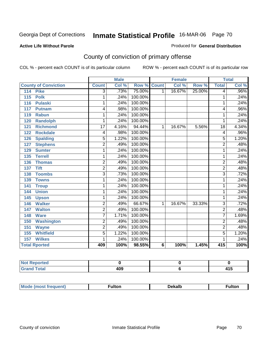#### **Active Life Without Parole**

#### Produced for **General Distribution**

# County of conviction of primary offense

|                             |                 | <b>Male</b> |         |              | <b>Female</b> |        |                 | <b>Total</b> |
|-----------------------------|-----------------|-------------|---------|--------------|---------------|--------|-----------------|--------------|
| <b>County of Conviction</b> | <b>Count</b>    | Col %       | Row %   | <b>Count</b> | Col %         | Row %  | <b>Total</b>    | Col %        |
| <b>Pike</b><br>114          | $\overline{3}$  | .73%        | 75.00%  | $\mathbf 1$  | 16.67%        | 25.00% | 4               | .96%         |
| 115<br><b>Polk</b>          | 1               | .24%        | 100.00% |              |               |        | 1               | .24%         |
| <b>Pulaski</b><br>116       | 1               | .24%        | 100.00% |              |               |        | 1               | .24%         |
| 117<br><b>Putnam</b>        | 4               | .98%        | 100.00% |              |               |        | 4               | .96%         |
| <b>Rabun</b><br>119         | 1               | .24%        | 100.00% |              |               |        | 1               | .24%         |
| 120<br><b>Randolph</b>      | 1               | .24%        | 100.00% |              |               |        | 1               | .24%         |
| <b>Richmond</b><br>121      | $\overline{17}$ | 4.16%       | 94.44%  | 1            | 16.67%        | 5.56%  | $\overline{18}$ | 4.34%        |
| <b>Rockdale</b><br>122      | 4               | .98%        | 100.00% |              |               |        | 4               | .96%         |
| 126<br><b>Spalding</b>      | 5               | 1.22%       | 100.00% |              |               |        | 5               | 1.20%        |
| <b>Stephens</b><br>127      | $\overline{2}$  | .49%        | 100.00% |              |               |        | $\overline{2}$  | .48%         |
| 129<br><b>Sumter</b>        | 1               | .24%        | 100.00% |              |               |        | 1               | .24%         |
| <b>Terrell</b><br>135       | 1               | .24%        | 100.00% |              |               |        | 1               | .24%         |
| 136<br><b>Thomas</b>        | $\overline{2}$  | .49%        | 100.00% |              |               |        | $\overline{2}$  | .48%         |
| <b>Tift</b><br>137          | $\overline{2}$  | .49%        | 100.00% |              |               |        | $\overline{2}$  | .48%         |
| <b>Toombs</b><br>138        | $\overline{3}$  | .73%        | 100.00% |              |               |        | $\overline{3}$  | .72%         |
| 139<br><b>Towns</b>         | 1               | .24%        | 100.00% |              |               |        | 1               | .24%         |
| 141<br><b>Troup</b>         | 1               | .24%        | 100.00% |              |               |        | 1               | .24%         |
| <b>Union</b><br>144         | 1               | .24%        | 100.00% |              |               |        | 1               | .24%         |
| 145<br><b>Upson</b>         | 1               | .24%        | 100.00% |              |               |        | 1               | .24%         |
| <b>Walker</b><br>146        | $\overline{2}$  | .49%        | 66.67%  | 1            | 16.67%        | 33.33% | $\overline{3}$  | .72%         |
| <b>Walton</b><br>147        | $\overline{2}$  | .49%        | 100.00% |              |               |        | $\overline{2}$  | .48%         |
| <b>Ware</b><br>148          | 7               | 1.71%       | 100.00% |              |               |        | $\overline{7}$  | 1.69%        |
| <b>Washington</b><br>150    | $\overline{2}$  | .49%        | 100.00% |              |               |        | $\overline{2}$  | .48%         |
| 151<br><b>Wayne</b>         | 2               | .49%        | 100.00% |              |               |        | $\overline{c}$  | .48%         |
| <b>Whitfield</b><br>155     | 5               | 1.22%       | 100.00% |              |               |        | 5               | 1.20%        |
| <b>Wilkes</b><br>157        | 1               | .24%        | 100.00% |              |               |        | 1               | .24%         |
| <b>Total Rported</b>        | 409             | 100%        | 98.55%  | 6            | 100%          | 1.45%  | 415             | 100%         |

| the seat of the<br>prted<br>$\sim$ |     |         |
|------------------------------------|-----|---------|
| Coto!                              | 409 | .<br>__ |

| <b>Mode</b><br><b>auent)</b> | ulton | Dekalb<br>____ | ·ulton |
|------------------------------|-------|----------------|--------|
|                              |       |                |        |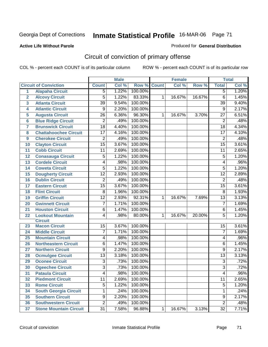#### **Active Life Without Parole**

#### Produced for **General Distribution**

# Circuit of conviction of primary offense

|                         |                               | <b>Male</b>     |       | Female  |              |        | <b>Total</b> |                 |                            |
|-------------------------|-------------------------------|-----------------|-------|---------|--------------|--------|--------------|-----------------|----------------------------|
|                         | <b>Circuit of Conviction</b>  | <b>Count</b>    | Col % | Row %   | <b>Count</b> | Col %  | Row %        | <b>Total</b>    | $\overline{\text{Col }^9}$ |
| 1                       | <b>Alapaha Circuit</b>        | 5               | 1.22% | 100.00% |              |        |              | 5               | 1.20%                      |
| $\overline{2}$          | <b>Alcovy Circuit</b>         | 5               | 1.22% | 83.33%  | $\mathbf{1}$ | 16.67% | 16.67%       | $\overline{6}$  | 1.45%                      |
| $\overline{\mathbf{3}}$ | <b>Atlanta Circuit</b>        | $\overline{39}$ | 9.54% | 100.00% |              |        |              | $\overline{39}$ | 9.40%                      |
| 4                       | <b>Atlantic Circuit</b>       | 9               | 2.20% | 100.00% |              |        |              | $\overline{9}$  | 2.17%                      |
| 5                       | <b>Augusta Circuit</b>        | $\overline{26}$ | 6.36% | 96.30%  | 1            | 16.67% | 3.70%        | $\overline{27}$ | 6.51%                      |
| $6\phantom{a}6$         | <b>Blue Ridge Circuit</b>     | $\overline{2}$  | .49%  | 100.00% |              |        |              | $\overline{2}$  | .48%                       |
| 7                       | <b>Brunswick Circuit</b>      | $\overline{18}$ | 4.40% | 100.00% |              |        |              | $\overline{18}$ | 4.34%                      |
| 8                       | <b>Chattahoochee Circuit</b>  | $\overline{17}$ | 4.16% | 100.00% |              |        |              | $\overline{17}$ | 4.10%                      |
| 9                       | <b>Cherokee Circuit</b>       | $\overline{2}$  | .49%  | 100.00% |              |        |              | $\overline{2}$  | .48%                       |
| 10                      | <b>Clayton Circuit</b>        | $\overline{15}$ | 3.67% | 100.00% |              |        |              | $\overline{15}$ | 3.61%                      |
| 11                      | <b>Cobb Circuit</b>           | 11              | 2.69% | 100.00% |              |        |              | 11              | 2.65%                      |
| 12                      | <b>Conasauga Circuit</b>      | 5               | 1.22% | 100.00% |              |        |              | 5               | 1.20%                      |
| 13                      | <b>Cordele Circuit</b>        | 4               | .98%  | 100.00% |              |        |              | 4               | .96%                       |
| 14                      | <b>Coweta Circuit</b>         | 5               | 1.22% | 100.00% |              |        |              | $\overline{5}$  | 1.20%                      |
| 15                      | <b>Dougherty Circuit</b>      | $\overline{12}$ | 2.93% | 100.00% |              |        |              | $\overline{12}$ | 2.89%                      |
| 16                      | <b>Dublin Circuit</b>         | $\overline{2}$  | .49%  | 100.00% |              |        |              | $\overline{2}$  | .48%                       |
| 17                      | <b>Eastern Circuit</b>        | $\overline{15}$ | 3.67% | 100.00% |              |        |              | 15              | 3.61%                      |
| 18                      | <b>Flint Circuit</b>          | 8               | 1.96% | 100.00% |              |        |              | 8               | 1.93%                      |
| 19                      | <b>Griffin Circuit</b>        | $\overline{12}$ | 2.93% | 92.31%  | 1            | 16.67% | 7.69%        | $\overline{13}$ | 3.13%                      |
| 20                      | <b>Gwinnett Circuit</b>       | $\overline{7}$  | 1.71% | 100.00% |              |        |              | $\overline{7}$  | 1.69%                      |
| 21                      | <b>Houston Circuit</b>        | 6               | 1.47% | 100.00% |              |        |              | $\overline{6}$  | 1.45%                      |
| 22                      | <b>Lookout Mountain</b>       | 4               | .98%  | 80.00%  | $\mathbf{1}$ | 16.67% | 20.00%       | $\overline{5}$  | 1.20%                      |
|                         | <b>Circuit</b>                |                 |       |         |              |        |              |                 |                            |
| 23                      | <b>Macon Circuit</b>          | 15              | 3.67% | 100.00% |              |        |              | 15              | 3.61%                      |
| 24                      | <b>Middle Circuit</b>         | 7               | 1.71% | 100.00% |              |        |              | $\overline{7}$  | 1.69%                      |
| 25                      | <b>Mountain Circuit</b>       | 4               | .98%  | 100.00% |              |        |              | 4               | .96%                       |
| 26                      | <b>Northeastern Circuit</b>   | 6               | 1.47% | 100.00% |              |        |              | 6               | 1.45%                      |
| 27                      | <b>Northern Circuit</b>       | 9               | 2.20% | 100.00% |              |        |              | 9               | 2.17%                      |
| 28                      | <b>Ocmulgee Circuit</b>       | $\overline{13}$ | 3.18% | 100.00% |              |        |              | $\overline{13}$ | 3.13%                      |
| 29                      | <b>Oconee Circuit</b>         | $\overline{3}$  | .73%  | 100.00% |              |        |              | $\overline{3}$  | .72%                       |
| 30                      | <b>Ogeechee Circuit</b>       | $\overline{3}$  | .73%  | 100.00% |              |        |              | $\overline{3}$  | .72%                       |
| $\overline{31}$         | <b>Pataula Circuit</b>        | $\overline{4}$  | .98%  | 100.00% |              |        |              | $\overline{4}$  | .96%                       |
| 32                      | <b>Piedmont Circuit</b>       | 11              | 2.69% | 100.00% |              |        |              | $\overline{11}$ | 2.65%                      |
| 33                      | <b>Rome Circuit</b>           | 5               | 1.22% | 100.00% |              |        |              | 5               | 1.20%                      |
| 34                      | <b>South Georgia Circuit</b>  | 1               | .24%  | 100.00% |              |        |              | $\mathbf{1}$    | .24%                       |
| 35                      | <b>Southern Circuit</b>       | $\overline{9}$  | 2.20% | 100.00% |              |        |              | $\overline{9}$  | 2.17%                      |
| 36                      | <b>Southwestern Circuit</b>   | $\overline{2}$  | .49%  | 100.00% |              |        |              | $\overline{2}$  | .48%                       |
| 37                      | <b>Stone Mountain Circuit</b> | $\overline{31}$ | 7.58% | 96.88%  | $\mathbf{1}$ | 16.67% | 3.13%        | $\overline{32}$ | 7.71%                      |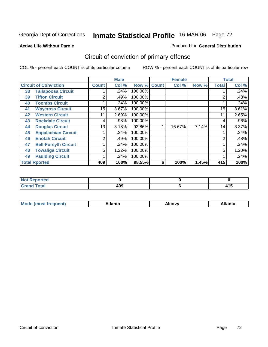**Active Life Without Parole** 

#### Produced for **General Distribution**

# Circuit of conviction of primary offense

|    |                              |              | <b>Male</b> |             |   | <b>Female</b> |       |                | <b>Total</b> |
|----|------------------------------|--------------|-------------|-------------|---|---------------|-------|----------------|--------------|
|    | <b>Circuit of Conviction</b> | <b>Count</b> | Col %       | Row % Count |   | Col %         | Row % | <b>Total</b>   | Col %        |
| 38 | <b>Tallapoosa Circuit</b>    |              | .24%        | 100.00%     |   |               |       |                | $.24\%$      |
| 39 | <b>Tifton Circuit</b>        | 2            | .49%        | 100.00%     |   |               |       | 2              | .48%         |
| 40 | <b>Toombs Circuit</b>        |              | .24%        | 100.00%     |   |               |       |                | .24%         |
| 41 | <b>Waycross Circuit</b>      | 15           | 3.67%       | 100.00%     |   |               |       | 15             | 3.61%        |
| 42 | <b>Western Circuit</b>       | 11           | 2.69%       | 100.00%     |   |               |       | 11             | 2.65%        |
| 43 | <b>Rockdale Circuit</b>      | 4            | .98%        | 100.00%     |   |               |       | 4              | $.96\%$      |
| 44 | <b>Douglas Circuit</b>       | 13           | 3.18%       | 92.86%      |   | 16.67%        | 7.14% | 14             | 3.37%        |
| 45 | <b>Appalachian Circuit</b>   |              | .24%        | 100.00%     |   |               |       |                | .24%         |
| 46 | <b>Enotah Circuit</b>        | 2            | .49%        | 100.00%     |   |               |       | $\overline{2}$ | .48%         |
| 47 | <b>Bell-Forsyth Circuit</b>  |              | .24%        | 100.00%     |   |               |       |                | .24%         |
| 48 | <b>Towaliga Circuit</b>      | 5            | 1.22%       | 100.00%     |   |               |       | 5              | 1.20%        |
| 49 | <b>Paulding Circuit</b>      |              | .24%        | 100.00%     |   |               |       |                | .24%         |
|    | <b>Total Rported</b>         | 409          | 100%        | 98.55%      | 6 | 100%          | 1.45% | 415            | 100%         |

| <b>NOT Reported</b>                  |     |     |
|--------------------------------------|-----|-----|
| $f \wedge f \wedge f$<br><b>Utal</b> | 409 | - - |

| М<br>. | Atlanta | `ow,<br>$ -$ | Atlanta |
|--------|---------|--------------|---------|
|        |         |              |         |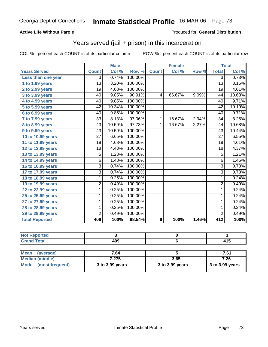### **Active Life Without Parole**

### Produced for **General Distribution**

## Years served (jail + prison) in this incarceration

|                              |                 | <b>Male</b> |         |                | <b>Female</b> | <b>Total</b> |                 |        |
|------------------------------|-----------------|-------------|---------|----------------|---------------|--------------|-----------------|--------|
| <b>Years Served</b>          | <b>Count</b>    | Col %       | Row %   | <b>Count</b>   | Col %         | Row %        | <b>Total</b>    | Col %  |
| Less than one year           | 3               | 0.74%       | 100.00% |                |               |              | 3               | 0.73%  |
| 1 to 1.99 years              | $\overline{13}$ | 3.20%       | 100.00% |                |               |              | $\overline{13}$ | 3.16%  |
| 2 to 2.99 years              | 19              | 4.68%       | 100.00% |                |               |              | 19              | 4.61%  |
| 3 to 3.99 years              | 40              | 9.85%       | 90.91%  | 4              | 66.67%        | 9.09%        | 44              | 10.68% |
| $4$ to $4.99$ years          | 40              | 9.85%       | 100.00% |                |               |              | 40              | 9.71%  |
| $\overline{5}$ to 5.99 years | 42              | 10.34%      | 100.00% |                |               |              | 42              | 10.19% |
| 6 to 6.99 years              | 40              | 9.85%       | 100.00% |                |               |              | 40              | 9.71%  |
| 7 to 7.99 years              | 33              | 8.13%       | 97.06%  | $\mathbf{1}$   | 16.67%        | 2.94%        | 34              | 8.25%  |
| 8 to 8.99 years              | 43              | 10.59%      | 97.73%  | 1              | 16.67%        | 2.27%        | 44              | 10.68% |
| 9 to 9.99 years              | 43              | 10.59%      | 100.00% |                |               |              | 43              | 10.44% |
| 10 to 10.99 years            | 27              | 6.65%       | 100.00% |                |               |              | 27              | 6.55%  |
| 11 to 11.99 years            | 19              | 4.68%       | 100.00% |                |               |              | 19              | 4.61%  |
| 12 to 12.99 years            | 18              | 4.43%       | 100.00% |                |               |              | 18              | 4.37%  |
| 13 to 13.99 years            | $\overline{5}$  | 1.23%       | 100.00% |                |               |              | $\overline{5}$  | 1.21%  |
| 14 to 14.99 years            | 6               | 1.48%       | 100.00% |                |               |              | $\overline{6}$  | 1.46%  |
| 16 to 16.99 years            | $\overline{3}$  | 0.74%       | 100.00% |                |               |              | $\overline{3}$  | 0.73%  |
| 17 to 17.99 years            | $\overline{3}$  | 0.74%       | 100.00% |                |               |              | $\overline{3}$  | 0.73%  |
| 18 to 18.99 years            | $\overline{1}$  | 0.25%       | 100.00% |                |               |              | $\overline{1}$  | 0.24%  |
| 19 to 19.99 years            | $\overline{2}$  | 0.49%       | 100.00% |                |               |              | $\overline{2}$  | 0.49%  |
| 22 to 22.99 years            | 1               | 0.25%       | 100.00% |                |               |              | 1               | 0.24%  |
| 25 to 25.99 years            | 1               | 0.25%       | 100.00% |                |               |              | 1               | 0.24%  |
| 27 to 27.99 years            | $\overline{1}$  | 0.25%       | 100.00% |                |               |              | $\overline{1}$  | 0.24%  |
| 28 to 28.99 years            | 1               | 0.25%       | 100.00% |                |               |              | $\mathbf{1}$    | 0.24%  |
| 29 to 29.99 years            | $\overline{2}$  | 0.49%       | 100.00% |                |               |              | $\overline{2}$  | 0.49%  |
| <b>Total Reported</b>        | 406             | 100%        | 98.54%  | $6\phantom{1}$ | 100%          | 1.46%        | 412             | 100%   |

| للمستقصاء<br>w |     |     |
|----------------|-----|-----|
| Coto"          | ,,, | .   |
| ----           | __  | טוד |

| Mean<br>(average)    | 7.64            |                 | 7.61              |  |  |
|----------------------|-----------------|-----------------|-------------------|--|--|
| Median (middle)      | 7.275           | 3.65            | 7.26              |  |  |
| Mode (most frequent) | 3 to 3.99 years | 3 to 3.99 years | $3$ to 3.99 years |  |  |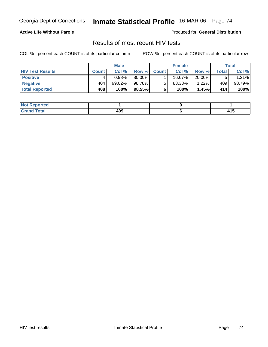### **Active Life Without Parole**

Produced for **General Distribution**

### Results of most recent HIV tests

|                         | <b>Male</b>  |           |        | <b>Female</b> |        |        | <b>Total</b> |        |
|-------------------------|--------------|-----------|--------|---------------|--------|--------|--------------|--------|
| <b>HIV Test Results</b> | <b>Count</b> | Col %     | Row %  | <b>Count</b>  | Col %  | Row %  | Total        | Col %  |
| <b>Positive</b>         |              | 0.98%     | 80.00% |               | 16.67% | 20.00% |              | 1.21%  |
| <b>Negative</b>         | 404          | $99.02\%$ | 98.78% |               | 83.33% | 1.22%  | 409          | 98.79% |
| <b>Total Reported</b>   | 408          | 100%      | 98.55% |               | 100%   | 1.45%  | 414          | 100%   |

| <b>Not Reported</b>        |     |            |
|----------------------------|-----|------------|
| <b>Total</b><br><b>Gra</b> | 409 | .<br>4 I J |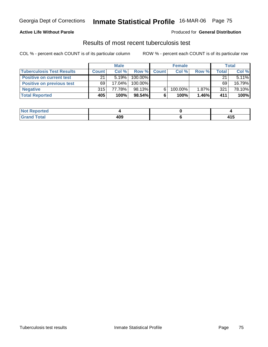### **Active Life Without Parole**

### Produced for **General Distribution**

## Results of most recent tuberculosis test

|                                  | <b>Male</b>  |           |         | <b>Female</b> | <b>Total</b> |       |       |          |
|----------------------------------|--------------|-----------|---------|---------------|--------------|-------|-------|----------|
| <b>Tuberculosis Test Results</b> | <b>Count</b> | Col%      | Row %   | <b>Count</b>  | Col %        | Row % | Total | Col %    |
| <b>Positive on current test</b>  | 21           | 5.19%     | 100.00% |               |              |       | 21    | $5.11\%$ |
| <b>Positive on previous test</b> | 69           | $17.04\%$ | 100.00% |               |              |       | 69    | 16.79%   |
| <b>Negative</b>                  | 315          | 77.78%    | 98.13%  | 6.            | 100.00%      | 1.87% | 321   | 78.10%   |
| <b>Total Reported</b>            | 405          | 100%      | 98.54%  |               | 100%         | 1.46% | 411   | 100%     |

| <b>Reported</b><br><b>NOT</b> |     |             |
|-------------------------------|-----|-------------|
| <b>Total</b>                  | 409 | 84 E<br>413 |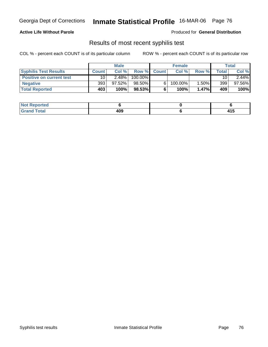### **Active Life Without Parole**

#### Produced for **General Distribution**

## Results of most recent syphilis test

|                                 | <b>Male</b>     |           | <b>Female</b> |              |         | Total    |              |          |
|---------------------------------|-----------------|-----------|---------------|--------------|---------|----------|--------------|----------|
| <b>Syphilis Test Results</b>    | <b>Count</b>    | Col%      | Row %         | <b>Count</b> | Col %   | Row %    | <b>Total</b> | Col %    |
| <b>Positive on current test</b> | 10 <sup>1</sup> | 2.48%     | 100.00%       |              |         |          | 10           | $2.44\%$ |
| <b>Negative</b>                 | 393             | $97.52\%$ | 98.50%        |              | 100.00% | 1.50%1   | 399          | 97.56%   |
| <b>Total Reported</b>           | 403             | 100%      | 98.53%        |              | 100%    | $1.47\%$ | 409          | 100%     |

| <b>Not Reported</b> |     |            |
|---------------------|-----|------------|
| <b>Fotal</b>        | 409 | .<br>7 I J |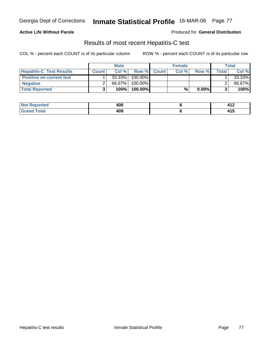### **Active Life Without Parole**

Produced for **General Distribution**

## Results of most recent Hepatitis-C test

|                                 | <b>Male</b>  |           | <b>Female</b> |                    |      | Total    |              |        |
|---------------------------------|--------------|-----------|---------------|--------------------|------|----------|--------------|--------|
| <b>Hepatitis-C Test Results</b> | <b>Count</b> | Col %     |               | <b>Row % Count</b> | Col% | Row %    | <b>Total</b> | Col %  |
| <b>Positive on current test</b> |              | $33.33\%$ | 100.00%       |                    |      |          |              | 33.33% |
| <b>Negative</b>                 |              | 66.67%    | 100.00%       |                    |      |          |              | 66.67% |
| <b>Total Reported</b>           |              | 100%      | 100.00%       |                    | %    | $0.00\%$ |              | 100%   |

| Not l<br>Reported    | 406 | 14 C<br>T 14 |
|----------------------|-----|--------------|
| <b>Total</b><br>. Gr | 409 | .<br>4 וט    |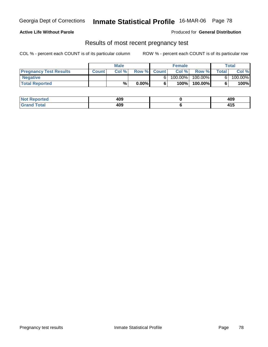### **Active Life Without Parole**

Produced for **General Distribution**

### Results of most recent pregnancy test

|                               | <b>Male</b>  |       | <b>Female</b> |             |            | Total      |              |         |
|-------------------------------|--------------|-------|---------------|-------------|------------|------------|--------------|---------|
| <b>Pregnancy Test Results</b> | <b>Count</b> | Col % |               | Row % Count | Col %      | Row %      | <b>Total</b> | Col %   |
| <b>Negative</b>               |              |       |               |             | $100.00\%$ | $100.00\%$ |              | 100.00% |
| <b>Total Reported</b>         |              | %     | $0.00\%$      |             | 100%       | 100.00%    |              | 100%    |

| :ported<br>NOT     | 409 | 409          |
|--------------------|-----|--------------|
| <i>i</i> otal<br>. | 409 | 4.4 F<br>413 |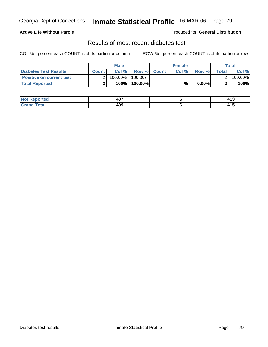### **Active Life Without Parole**

### Produced for **General Distribution**

## Results of most recent diabetes test

|                                 | <b>Male</b>  |            |                    | <b>Female</b> |       |          | Total   |         |
|---------------------------------|--------------|------------|--------------------|---------------|-------|----------|---------|---------|
| Diabetes Test Results           | <b>Count</b> | Col %      | <b>Row % Count</b> |               | Col % | Row %    | Total l | Col %   |
| <b>Positive on current test</b> |              | $100.00\%$ | 100.00% I          |               |       |          |         | 100.00% |
| <b>Total Reported</b>           |              | 100%       | 100.00%            |               | %     | $0.00\%$ |         | 100%    |

| ırted<br>N | 407 | $\overline{A}$<br>7 I J |
|------------|-----|-------------------------|
| Total      | 409 | 4 A F<br>7 I J          |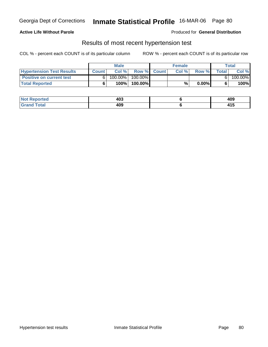### **Active Life Without Parole**

Produced for **General Distribution**

### Results of most recent hypertension test

|                                  | <b>Male</b>  |            |           | <b>Female</b> |      |          | Total |         |
|----------------------------------|--------------|------------|-----------|---------------|------|----------|-------|---------|
| <b>Hypertension Test Results</b> | <b>Count</b> | Col %      |           | Row % Count   | Col% | Row %    | Total | Col %   |
| <b>Positive on current test</b>  |              | $100.00\%$ | 100.00% I |               |      |          |       | 100.00% |
| <b>Total Reported</b>            |              | 100%       | 100.00%   |               | %    | $0.00\%$ |       | 100%    |

| eported | 403 | 409        |
|---------|-----|------------|
| `otal   | 409 | .<br>4 I J |